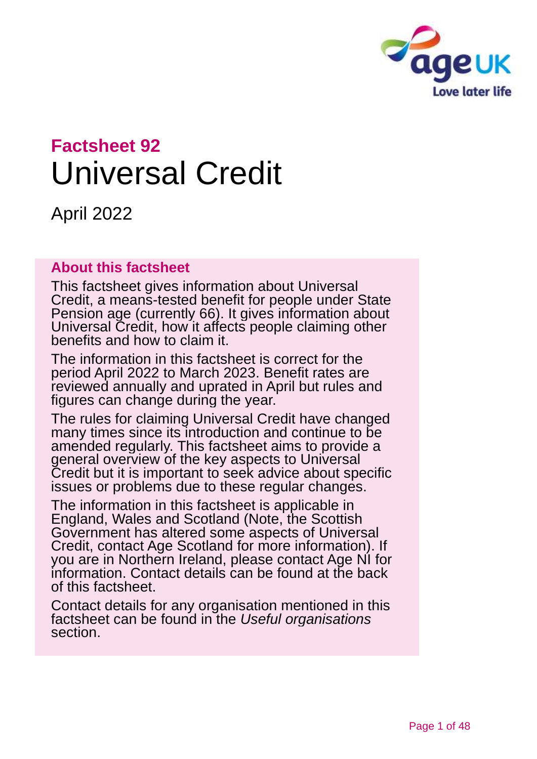

# **Factsheet 92** Universal Credit

April 2022

### **About this factsheet**

This factsheet gives information about Universal Credit, a means-tested benefit for people under State Pension age (currently 66). It gives information about Universal Credit, how it affects people claiming other benefits and how to claim it.

The information in this factsheet is correct for the period April 2022 to March 2023. Benefit rates are reviewed annually and uprated in April but rules and figures can change during the year.

The rules for claiming Universal Credit have changed many times since its introduction and continue to be amended regularly. This factsheet aims to provide a general overview of the key aspects to Universal Credit but it is important to seek advice about specific issues or problems due to these regular changes.

The information in this factsheet is applicable in England, Wales and Scotland (Note, the Scottish Government has altered some aspects of Universal Credit, contact [Age Scotland](#page-46-0) for more information). If you are in Northern Ireland, please contact [Age NI](#page-46-1) for information. Contact details can be found at the back of this factsheet.

Contact details for any organisation mentioned in this factsheet can be found in the *[Useful organisations](#page-42-0)* section.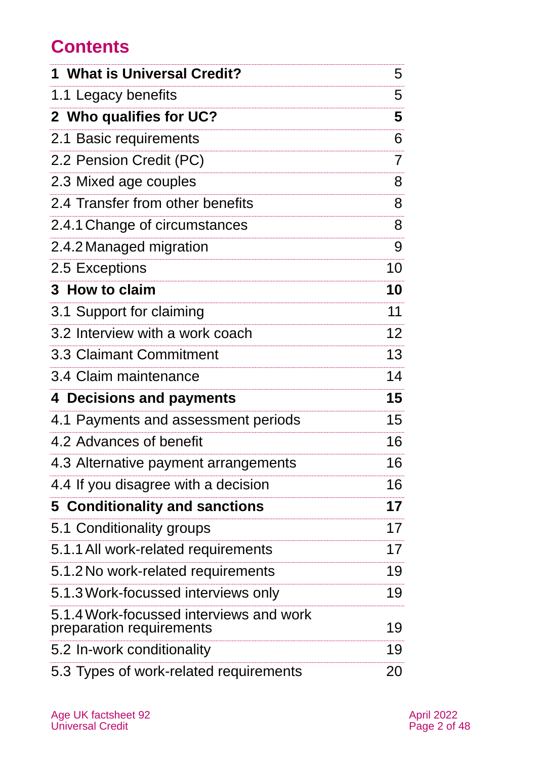# **Contents**

| 1 What is Universal Credit?                                         | 5              |
|---------------------------------------------------------------------|----------------|
| 1.1 Legacy benefits                                                 | 5              |
| 2 Who qualifies for UC?                                             | 5              |
| 2.1 Basic requirements                                              | 6              |
| 2.2 Pension Credit (PC)                                             | $\overline{7}$ |
| 2.3 Mixed age couples                                               | 8              |
| 2.4 Transfer from other benefits                                    | 8              |
| 2.4.1 Change of circumstances                                       | 8              |
| 2.4.2 Managed migration                                             | 9              |
| 2.5 Exceptions                                                      | 10             |
| 3 How to claim                                                      | 10             |
| 3.1 Support for claiming                                            | 11             |
| 3.2 Interview with a work coach                                     | 12             |
| 3.3 Claimant Commitment                                             | 13             |
| 3.4 Claim maintenance                                               | 14             |
| 4 Decisions and payments                                            | 15             |
| 4.1 Payments and assessment periods                                 | 15             |
| 4.2 Advances of benefit                                             | 16             |
| 4.3 Alternative payment arrangements                                | 16             |
| 4.4 If you disagree with a decision                                 | 16             |
| 5 Conditionality and sanctions                                      | 17             |
| 5.1 Conditionality groups                                           | 17             |
| 5.1.1 All work-related requirements                                 | 17             |
| 5.1.2 No work-related requirements                                  | 19             |
| 5.1.3 Work-focussed interviews only                                 | 19             |
| 5.1.4 Work-focussed interviews and work<br>preparation requirements | 19             |
| 5.2 In-work conditionality                                          | 19             |
| 5.3 Types of work-related requirements                              | 20             |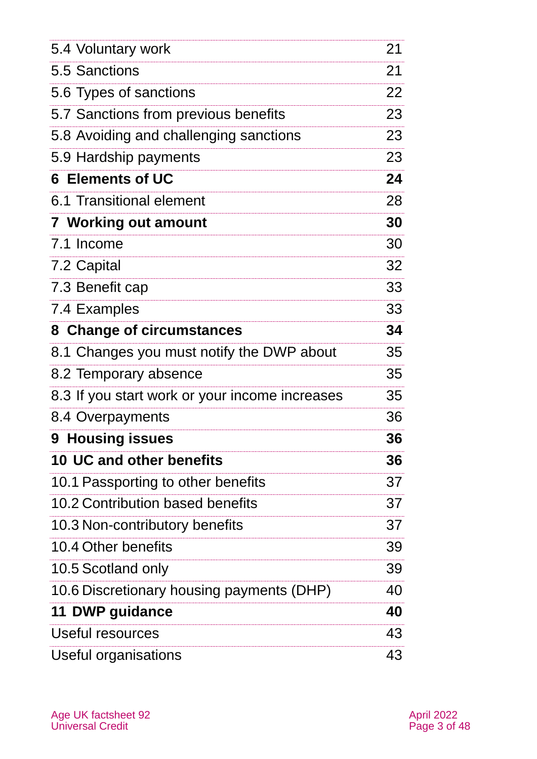| 5.4 Voluntary work                             | 21 |
|------------------------------------------------|----|
| 5.5 Sanctions                                  | 21 |
| 5.6 Types of sanctions                         | 22 |
| 5.7 Sanctions from previous benefits           | 23 |
| 5.8 Avoiding and challenging sanctions         | 23 |
| 5.9 Hardship payments                          | 23 |
| 6 Elements of UC                               | 24 |
| 6.1 Transitional element                       | 28 |
| <b>7 Working out amount</b>                    | 30 |
| 7.1 Income                                     | 30 |
| 7.2 Capital                                    | 32 |
| 7.3 Benefit cap                                | 33 |
| 7.4 Examples                                   | 33 |
| 8 Change of circumstances                      | 34 |
| 8.1 Changes you must notify the DWP about      | 35 |
| 8.2 Temporary absence                          | 35 |
| 8.3 If you start work or your income increases | 35 |
| 8.4 Overpayments                               | 36 |
| 9 Housing issues                               | 36 |
| <b>10 UC and other benefits</b>                | 36 |
| 10.1 Passporting to other benefits             | 37 |
| 10.2 Contribution based benefits               | 37 |
| 10.3 Non-contributory benefits                 | 37 |
| 10.4 Other benefits                            | 39 |
| 10.5 Scotland only                             | 39 |
| 10.6 Discretionary housing payments (DHP)      | 40 |
| 11 DWP guidance                                | 40 |
| Useful resources                               | 43 |
| Useful organisations                           | 43 |
|                                                |    |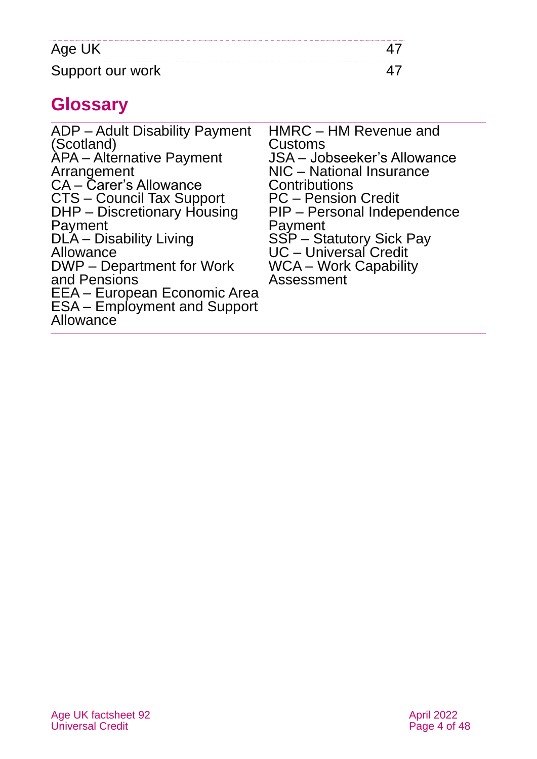| Age UK           |  |
|------------------|--|
| Support our work |  |

# **Glossary**

<span id="page-3-0"></span>

| ADP – Adult Disability Payment<br>(Scotland)<br>APA - Alternative Payment<br>Arrangement<br>CA - Carer's Allowance<br><b>CTS - Council Tax Support</b><br>DHP - Discretionary Housing<br>Payment<br>DLA – Disability Living<br>Allowance<br>DWP – Department for Work<br>and Pensions<br>EEA - European Economic Area<br><b>ESA</b> – Employment and Support<br>Allowance | HMRC - HM Revenue and<br>Customs<br><b>JSA</b> - Jobseeker's Allowance<br>NIC - National Insurance<br>Contributions<br><b>PC</b> – Pension Credit<br>PIP – Personal Independence<br>Payment<br>SSP - Statutory Sick Pay<br>UC - Universal Credit<br><b>WCA – Work Capability</b><br>Assessment |
|---------------------------------------------------------------------------------------------------------------------------------------------------------------------------------------------------------------------------------------------------------------------------------------------------------------------------------------------------------------------------|------------------------------------------------------------------------------------------------------------------------------------------------------------------------------------------------------------------------------------------------------------------------------------------------|
|---------------------------------------------------------------------------------------------------------------------------------------------------------------------------------------------------------------------------------------------------------------------------------------------------------------------------------------------------------------------------|------------------------------------------------------------------------------------------------------------------------------------------------------------------------------------------------------------------------------------------------------------------------------------------------|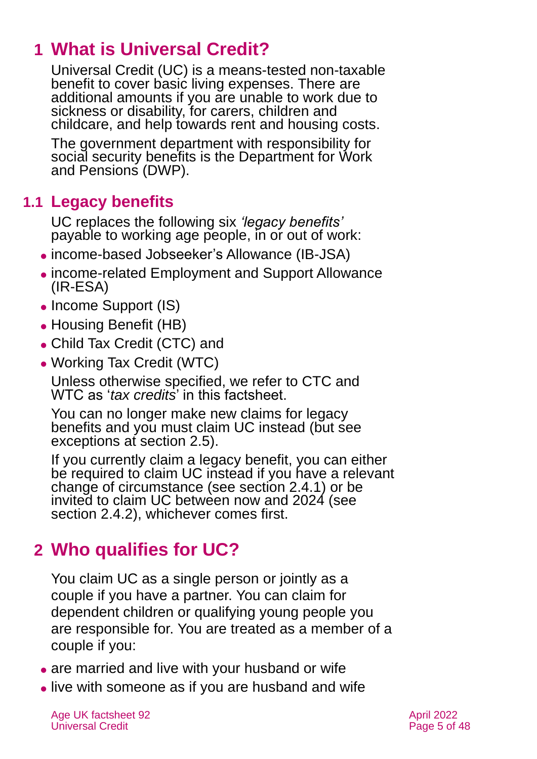# **1 What is Universal Credit?**

Universal Credit (UC) is a means-tested non-taxable benefit to cover basic living expenses. There are additional amounts if you are unable to work due to sickness or disability, for carers, children and childcare, and help towards rent and housing costs.

The government department with responsibility for social security benefits is the Department for Work and Pensions (DWP).

# **1.1 Legacy benefits**

UC replaces the following six *'legacy benefits'*  payable to working age people, in or out of work:

- ⚫ income-based Jobseeker's Allowance (IB-JSA)
- ⚫ income-related Employment and Support Allowance (IR-ESA)
- Income Support (IS)
- ⚫ Housing Benefit (HB)
- ⚫ Child Tax Credit (CTC) and
- ⚫ Working Tax Credit (WTC)

Unless otherwise specified, we refer to CTC and WTC as '*tax credits*' in this factsheet.

You can no longer make new claims for legacy benefits and you must claim UC instead (but see exceptions at [section 2.5\)](#page-8-0).

If you currently claim a legacy benefit, you can either be required to claim UC instead if you have a relevant change of circumstance (see [section 2.4.1\)](#page-7-0) or be invited to claim UC between now and 2024 (see [section 2.4.2\)](#page-8-1), whichever comes first.

# <span id="page-4-0"></span>**2 Who qualifies for UC?**

You claim UC as a single person or jointly as a couple if you have a partner. You can claim for dependent children or qualifying young people you are responsible for. You are treated as a member of a couple if you:

- are married and live with your husband or wife
- ⚫ live with someone as if you are husband and wife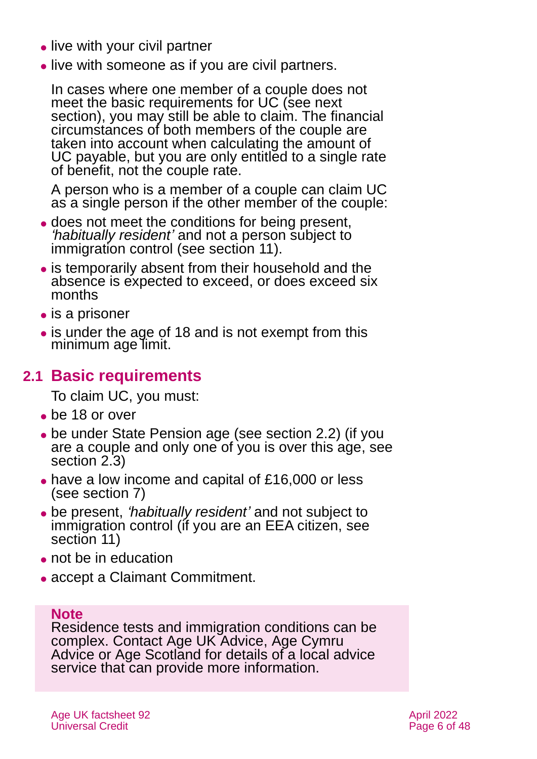- live with your civil partner
- live with someone as if you are civil partners.

In cases where one member of a couple does not meet the basic requirements for UC (see next section), you may still be able to claim. The financial circumstances of both members of the couple are taken into account when calculating the amount of UC payable, but you are only entitled to a single rate of benefit, not the couple rate.

A person who is a member of a couple can claim UC as a single person if the other member of the couple:

- ⚫ does not meet the conditions for being present, *'habitually resident'* and not a person subject to immigration control [\(see section 11\)](#page-39-0).
- ⚫ is temporarily absent from their household and the absence is expected to exceed, or does exceed six months
- is a prisoner
- is under the age of 18 and is not exempt from this minimum age limit.

# **2.1 Basic requirements**

To claim UC, you must:

- ⚫ be 18 or over
- ⚫ be under State Pension age (see [section 2.2](#page-6-0)) (if you are a couple and only one of you is over this age, see [section](#page-7-1) 2.3)
- ⚫ have a low income and capital of £16,000 or less (see [section 7\)](#page-29-0)
- ⚫ be present, *'habitually resident'* and not subject to immigration control (if you are an EEA citizen, [see](#page-39-0)  [section 11\)](#page-39-0)
- ⚫ not be in education
- ⚫ accept a Claimant Commitment.

### **Note**

Residence tests and immigration conditions can be complex. Contact [Age UK Advice,](#page-46-2) [Age Cymru](#page-46-4)  [Advice](#page-46-4) or [Age Scotland](#page-46-0) for details of a local advice service that can provide more information.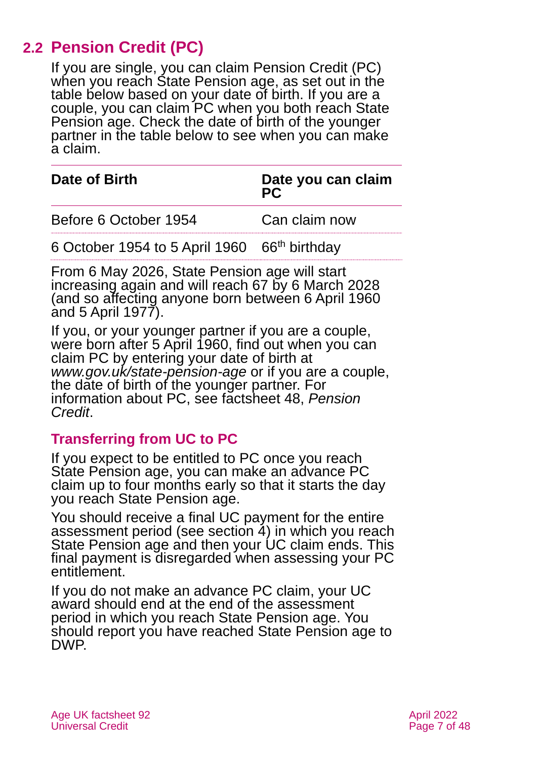# **2.2 Pension Credit (PC)**

<span id="page-6-0"></span>If you are single, you can claim Pension Credit (PC) when you reach State Pension age, as set out in the table below based on your date of birth. If you are a couple, you can claim PC when you both reach State Pension age. Check the date of birth of the younger partner in the table below to see when you can make a claim.

| Date of Birth                                | Date you can claim<br>PC |
|----------------------------------------------|--------------------------|
| Before 6 October 1954                        | Can claim now            |
| 6 October 1954 to 5 April 1960 66th birthday |                          |

From 6 May 2026, State Pension age will start increasing again and will reach 67 by 6 March 2028 (and so affecting anyone born between 6 April 1960 and 5 April 1977).

If you, or your younger partner if you are a couple, were born after 5 April 1960, find out when you can claim PC by entering your date of birth at *[www.gov.uk/state-pension-age](http://www.gov.uk/state-pension-age)* or if you are a couple, the date of birth of the younger partner. For information about PC, see [factsheet 48,](https://www.ageuk.org.uk/globalassets/age-uk/documents/factsheets/fs48_pension_credit_fcs.pdf) *Pension [Credit](https://www.ageuk.org.uk/globalassets/age-uk/documents/factsheets/fs48_pension_credit_fcs.pdf)*.

# **Transferring from UC to PC**

If you expect to be entitled to PC once you reach State Pension age, you can make an advance PC claim up to four months early so that it starts the day you reach State Pension age.

You should receive a final UC payment for the entire assessment period (see [section 4\)](#page-14-0) in which you reach State Pension age and then your UC claim ends. This final payment is disregarded when assessing your PC entitlement.

If you do not make an advance PC claim, your UC award should end at the end of the assessment period in which you reach State Pension age. You should report you have reached State Pension age to DWP.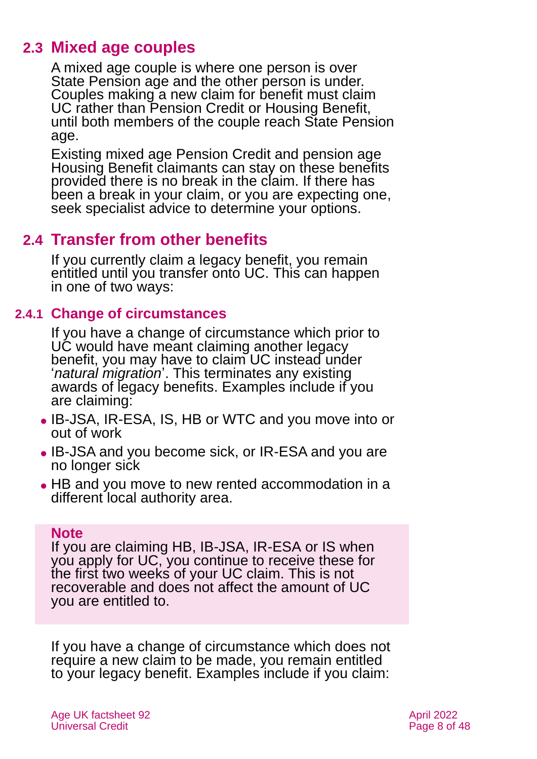# **2.3 Mixed age couples**

<span id="page-7-1"></span>A mixed age couple is where one person is over State Pension age and the other person is under. Couples making a new claim for benefit must claim UC rather than Pension Credit or Housing Benefit, until both members of the couple reach State Pension age.

Existing mixed age Pension Credit and pension age Housing Benefit claimants can stay on these benefits provided there is no break in the claim. If there has been a break in your claim, or you are expecting one, seek specialist advice to determine your options.

# **2.4 Transfer from other benefits**

If you currently claim a legacy benefit, you remain entitled until you transfer onto UC. This can happen in one of two ways:

### **2.4.1 Change of circumstances**

<span id="page-7-0"></span>If you have a change of circumstance which prior to UC would have meant claiming another legacy benefit, you may have to claim UC instead under '*natural migration*'. This terminates any existing awards of legacy benefits. Examples include if you are claiming:

- ⚫ IB-JSA, IR-ESA, IS, HB or WTC and you move into or out of work
- ⚫ IB-JSA and you become sick, or IR-ESA and you are no longer sick
- HB and you move to new rented accommodation in a different local authority area.

#### **Note**

If you are claiming HB, IB-JSA, IR-ESA or IS when you apply for UC, you continue to receive these for the first two weeks of your UC claim. This is not recoverable and does not affect the amount of UC you are entitled to.

If you have a change of circumstance which does not require a new claim to be made, you remain entitled to your legacy benefit. Examples include if you claim: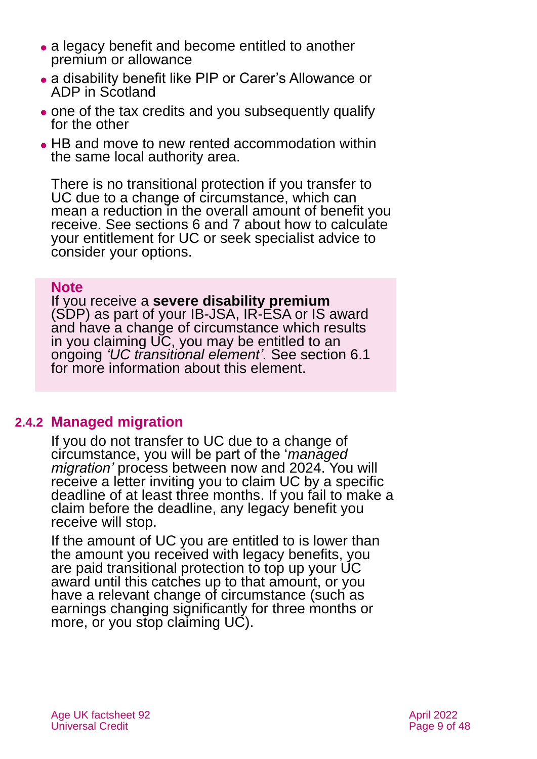- a legacy benefit and become entitled to another premium or allowance
- ⚫ a disability benefit like PIP or Carer's Allowance or ADP in Scotland
- ⚫ one of the tax credits and you subsequently qualify for the other
- ⚫ HB and move to new rented accommodation within the same local authority area.

There is no transitional protection if you transfer to UC due to a change of circumstance, which can mean a reduction in the overall amount of benefit you receive. See [sections 6](#page-23-0) [and 7](#page-29-0) about how to calculate your entitlement for UC or seek specialist advice to consider your options.

#### **Note**

If you receive a **severe disability premium** (SDP) as part of your IB-JSA, IR-ESA or IS award and have a change of circumstance which results in you claiming UC, you may be entitled to an ongoing *'UC transitional element'.* [See section 6.1](#page-27-0) for more information about this element.

### **2.4.2 Managed migration**

<span id="page-8-1"></span>If you do not transfer to UC due to a change of circumstance, you will be part of the '*managed migration'* process between now and 2024. You will receive a letter inviting you to claim UC by a specific deadline of at least three months. If you fail to make a claim before the deadline, any legacy benefit you receive will stop.

<span id="page-8-0"></span>If the amount of UC you are entitled to is lower than the amount you received with legacy benefits, you are paid transitional protection to top up your UC award until this catches up to that amount, or you have a relevant change of circumstance (such as earnings changing significantly for three months or more, or you stop claiming UC).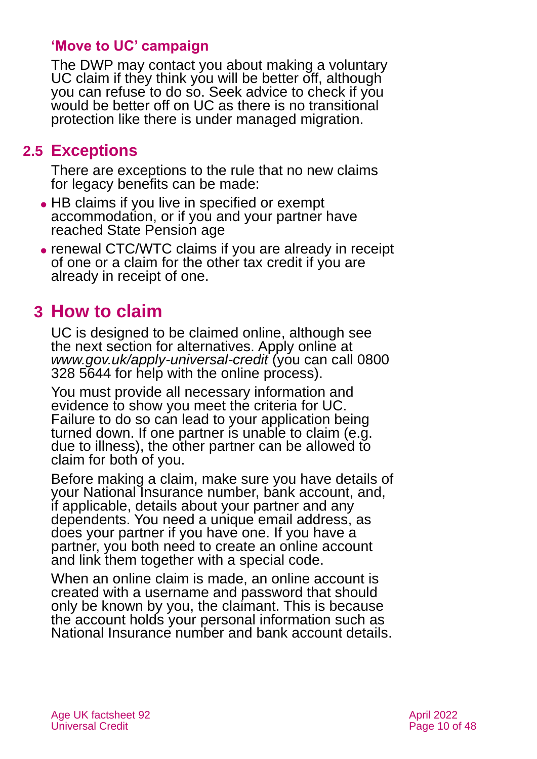# **'Move to UC' campaign**

The DWP may contact you about making a voluntary UC claim if they think you will be better off, although you can refuse to do so. Seek advice to check if you would be better off on UC as there is no transitional protection like there is under managed migration.

# **2.5 Exceptions**

There are exceptions to the rule that no new claims for legacy benefits can be made:

- HB claims if you live in specified or exempt accommodation, or if you and your partner have reached State Pension age
- ⚫ renewal CTC/WTC claims if you are already in receipt of one or a claim for the other tax credit if you are already in receipt of one.

# <span id="page-9-0"></span>**3 How to claim**

UC is designed to be claimed online, although see the next section for alternatives. Apply online at *[www.gov.uk/apply-universal-credit](http://www.gov.uk/apply-universal-credit)* (you can call 0800 328 5644 for help with the online process).

You must provide all necessary information and evidence to show you meet the criteria for UC. Failure to do so can lead to your application being turned down. If one partner is unable to claim (e.g. due to illness), the other partner can be allowed to claim for both of you.

Before making a claim, make sure you have details of your National Insurance number, bank account, and, if applicable, details about your partner and any dependents. You need a unique email address, as does your partner if you have one. If you have a partner, you both need to create an online account and link them together with a special code.

When an online claim is made, an online account is created with a username and password that should only be known by you, the claimant. This is because the account holds your personal information such as National Insurance number and bank account details.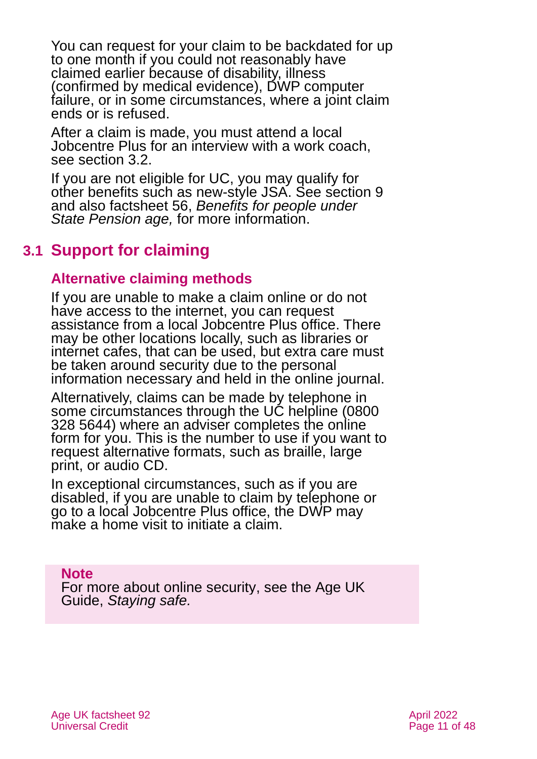You can request for your claim to be backdated for up to one month if you could not reasonably have claimed earlier because of disability, illness (confirmed by medical evidence), DWP computer failure, or in some circumstances, where a joint claim ends or is refused.

After a claim is made, you must attend a local Jobcentre Plus for an interview with a work coach. see [section](#page-11-0) 3.2.

If you are not eligible for UC, you may qualify for other benefits such as new-style JSA. See [section 9](#page-35-1) and also factsheet 56, *[Benefits for people under](https://www.ageuk.org.uk/globalassets/age-uk/documents/factsheets/fs56-benefits-for-people-under-state-pension-age.pdf)  [State Pension age,](https://www.ageuk.org.uk/globalassets/age-uk/documents/factsheets/fs56-benefits-for-people-under-state-pension-age.pdf)* for more information.

# **3.1 Support for claiming**

### **Alternative claiming methods**

If you are unable to make a claim online or do not have access to the internet, you can request assistance from a local Jobcentre Plus office. There may be other locations locally, such as libraries or internet cafes, that can be used, but extra care must be taken around security due to the personal information necessary and held in the online journal.

Alternatively, claims can be made by telephone in some circumstances through the UC helpline (0800) 328 5644) where an adviser completes the online form for you. This is the number to use if you want to request alternative formats, such as braille, large print, or audio CD.

In exceptional circumstances, such as if you are disabled, if you are unable to claim by telephone or go to a local Jobcentre Plus office, the DWP may make a home visit to initiate a claim.

**Note**

For more about online security, see the Age UK Guide, *[Staying safe.](https://www.ageuk.org.uk/globalassets/age-uk/documents/information-guides/ageukig01_staying_safe.inf.pdf)*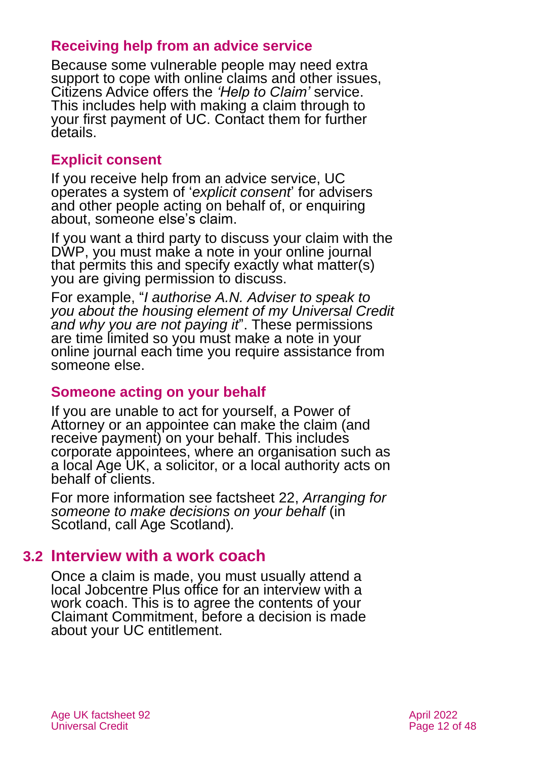### **Receiving help from an advice service**

Because some vulnerable people may need extra support to cope with online claims and other issues, Citizens Advice offers the *['Help to Claim'](https://www.citizensadvice.org.uk/benefits/universal-credit/claiming/helptoclaim/)* service. This includes help with making a claim through to your first payment of UC. Contact them for further details.

### **Explicit consent**

If you receive help from an advice service, UC operates a system of '*explicit consent*' for advisers and other people acting on behalf of, or enquiring about, someone else's claim.

If you want a third party to discuss your claim with the DWP, you must make a note in your online journal that permits this and specify exactly what matter(s) you are giving permission to discuss.

For example, "*I authorise A.N. Adviser to speak to you about the housing element of my Universal Credit and why you are not paying it*". These permissions are time limited so you must make a note in your online journal each time you require assistance from someone else.

### **Someone acting on your behalf**

If you are unable to act for yourself, a Power of Attorney or an appointee can make the claim (and receive payment) on your behalf. This includes corporate appointees, where an organisation such as a local Age UK, a solicitor, or a local authority acts on behalf of clients.

For more information see factsheet 22, *[Arranging for](https://www.ageuk.org.uk/globalassets/age-uk/documents/factsheets/fs22_arranging_for_someone_to_make_decisions_on_your_behalf_fcs.pdf)  [someone to make decisions on your behalf](https://www.ageuk.org.uk/globalassets/age-uk/documents/factsheets/fs22_arranging_for_someone_to_make_decisions_on_your_behalf_fcs.pdf)* (in Scotland, [call Age Scotland\)](#page-46-0)*.*

# <span id="page-11-0"></span>**3.2 Interview with a work coach**

Once a claim is made, you must usually attend a local Jobcentre Plus office for an interview with a work coach. This is to agree the contents of your Claimant Commitment, before a decision is made about your UC entitlement.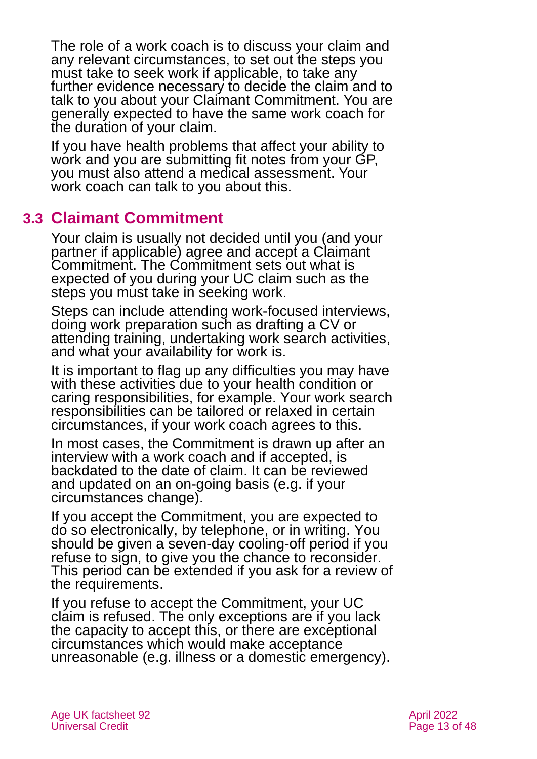The role of a work coach is to discuss your claim and any relevant circumstances, to set out the steps you must take to seek work if applicable, to take any further evidence necessary to decide the claim and to talk to you about your Claimant Commitment. You are generally expected to have the same work coach for the duration of your claim.

If you have health problems that affect your ability to work and you are submitting fit notes from your GP, you must also attend a medical assessment. Your work coach can talk to you about this.

# <span id="page-12-0"></span>**3.3 Claimant Commitment**

Your claim is usually not decided until you (and your partner if applicable) agree and accept a Claimant Commitment. The Commitment sets out what is expected of you during your UC claim such as the steps you must take in seeking work.

Steps can include attending work-focused interviews, doing work preparation such as drafting a CV or attending training, undertaking work search activities, and what your availability for work is.

It is important to flag up any difficulties you may have with these activities due to your health condition or caring responsibilities, for example. Your work search responsibilities can be tailored or relaxed in certain circumstances, if your work coach agrees to this.

In most cases, the Commitment is drawn up after an interview with a work coach and if accepted, is backdated to the date of claim. It can be reviewed and updated on an on-going basis (e.g. if your circumstances change).

If you accept the Commitment, you are expected to do so electronically, by telephone, or in writing. You should be given a seven-day cooling-off period if you refuse to sign, to give you the chance to reconsider. This period can be extended if you ask for a review of the requirements.

If you refuse to accept the Commitment, your UC claim is refused. The only exceptions are if you lack the capacity to accept this, or there are exceptional circumstances which would make acceptance unreasonable (e.g. illness or a domestic emergency).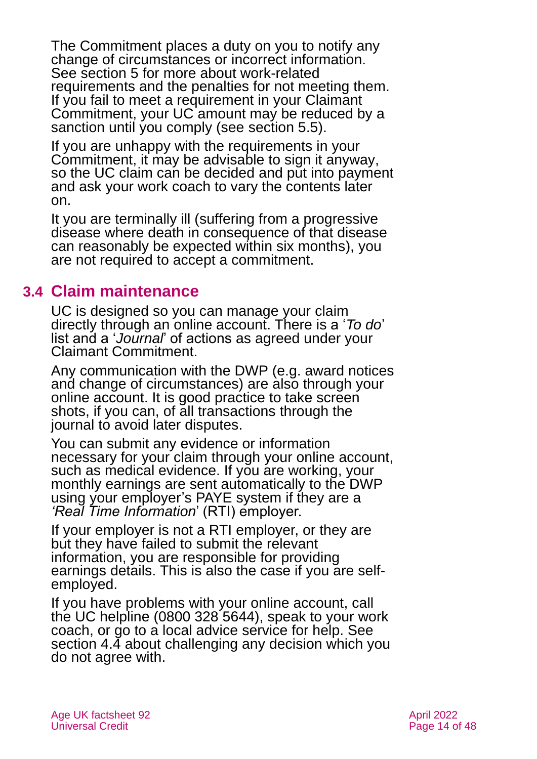The Commitment places a duty on you to notify any change of circumstances or incorrect information. See [section 5](#page-16-0) for more about work-related requirements and the penalties for not meeting them. If you fail to meet a requirement in your Claimant Commitment, your UC amount may be reduced by a sanction until you comply (see [section 5.5\)](#page-20-0).

If you are unhappy with the requirements in your Commitment, it may be advisable to sign it anyway, so the UC claim can be decided and put into payment and ask your work coach to vary the contents later on.

It you are terminally ill (suffering from a progressive disease where death in consequence of that disease can reasonably be expected within six months), you are not required to accept a commitment.

# **3.4 Claim maintenance**

UC is designed so you can manage your claim directly through an online account. There is a '*To do*' list and a '*Journal*' of actions as agreed under your Claimant Commitment.

Any communication with the DWP (e.g. award notices and change of circumstances) are also through your online account. It is good practice to take screen shots, if you can, of all transactions through the journal to avoid later disputes.

You can submit any evidence or information necessary for your claim through your online account, such as medical evidence. If you are working, your monthly earnings are sent automatically to the DWP using your employer's PAYE system if they are a *'Real Time Information*' (RTI) employer.

If your employer is not a RTI employer, or they are but they have failed to submit the relevant information, you are responsible for providing earnings details. This is also the case if you are selfemployed.

If you have problems with your online account, call the UC helpline (0800 328 5644), speak to your work coach, or go to a local advice service for help. See [section 4.4](#page-15-0) about challenging any decision which you do not agree with.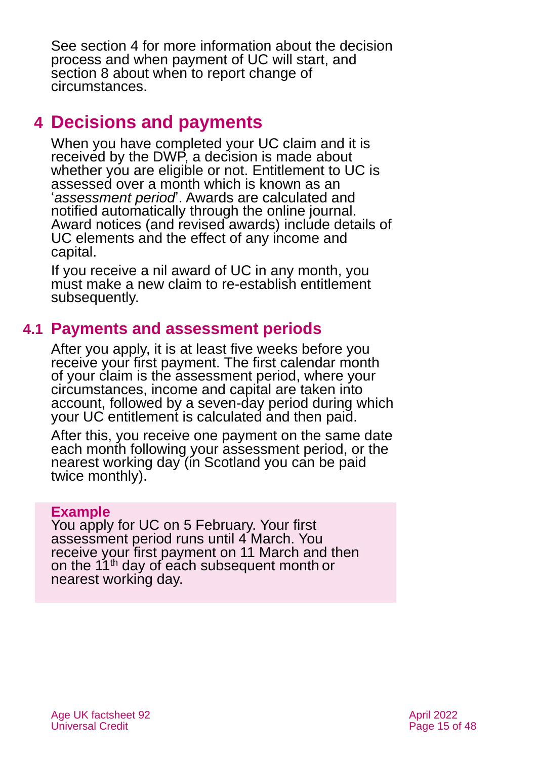See [section 4](#page-14-0) for more information about the decision process and when payment of UC will start, and [section 8](#page-33-0) about when to report change of circumstances.

# <span id="page-14-0"></span>**4 Decisions and payments**

When you have completed your UC claim and it is received by the DWP, a decision is made about whether you are eligible or not. Entitlement to UC is assessed over a month which is known as an '*assessment period*'. Awards are calculated and notified automatically through the online journal. Award notices (and revised awards) include details of UC elements and the effect of any income and capital.

If you receive a nil award of UC in any month, you must make a new claim to re-establish entitlement subsequently.

# **4.1 Payments and assessment periods**

After you apply, it is at least five weeks before you receive your first payment. The first calendar month of your claim is the assessment period, where your circumstances, income and capital are taken into account, followed by a seven-day period during which your UC entitlement is calculated and then paid.

After this, you receive one payment on the same date each month following your assessment period, or the nearest working day (in Scotland you can be paid twice monthly).

#### **Example**

You apply for UC on 5 February. Your first assessment period runs until 4 March. You receive your first payment on 11 March and then on the 11<sup>th</sup> day of each subsequent month or nearest working day.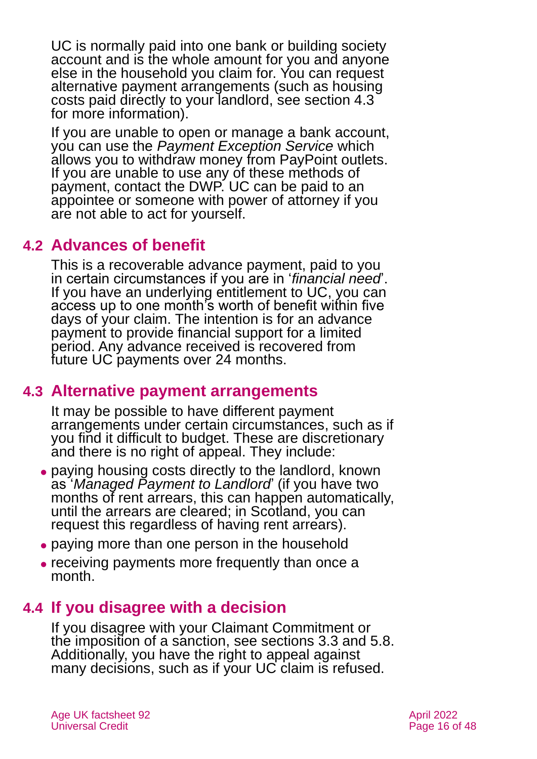UC is normally paid into one bank or building society account and is the whole amount for you and anyone else in the household you claim for. You can request alternative payment arrangements (such as housing costs paid directly to your landlord, see [section 4.3](#page-15-1) for more information).

If you are unable to open or manage a bank account, you can use the *[Payment Exception Service](https://www.gov.uk/payment-exception-service)* which allows you to withdraw money from PayPoint outlets. If you are unable to use any of these methods of payment, contact the DWP. UC can be paid to an appointee or someone with power of attorney if you are not able to act for yourself.

# **4.2 Advances of benefit**

This is a recoverable advance payment, paid to you in certain circumstances if you are in '*financial need*'. If you have an underlying entitlement to UC, you can access up to one month's worth of benefit within five days of your claim. The intention is for an advance payment to provide financial support for a limited period. Any advance received is recovered from future UC payments over 24 months.

# <span id="page-15-1"></span>**4.3 Alternative payment arrangements**

It may be possible to have different payment arrangements under certain circumstances, such as if you find it difficult to budget. These are discretionary and there is no right of appeal. They include:

- ⚫ paying housing costs directly to the landlord, known as '*Managed Payment to Landlord*' (if you have two months of rent arrears, this can happen automatically, until the arrears are cleared; in Scotland, you can request this regardless of having rent arrears).
- ⚫ paying more than one person in the household
- <span id="page-15-0"></span>⚫ receiving payments more frequently than once a month.

# **4.4 If you disagree with a decision**

If you disagree with your Claimant Commitment or the imposition of a sanction, see [sections 3.3](#page-12-0) [and 5.8.](#page-22-0) Additionally, you have the right to appeal against many decisions, such as if your UC claim is refused.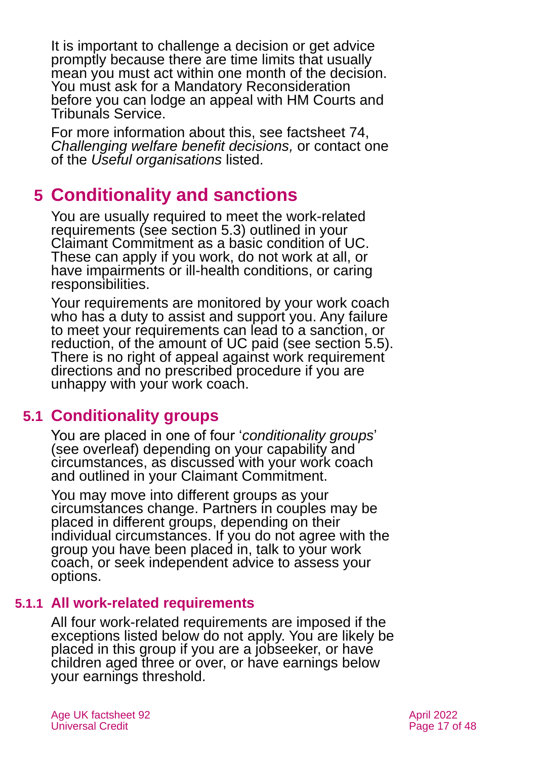It is important to challenge a decision or get advice promptly because there are time limits that usually mean you must act within one month of the decision. You must ask for a Mandatory Reconsideration before you can lodge an appeal with HM Courts and Tribunals Service.

For more information about this, see factsheet 74, *[Challenging welfare benefit decisions,](https://www.ageuk.org.uk/globalassets/age-uk/documents/factsheets/fs74_challenging_welfare_benefit_decisions_fcs.pdf)* or contact one of the *[Useful organisations](#page-42-0)* listed.

# <span id="page-16-0"></span>**5 Conditionality and sanctions**

You are usually required to meet the work-related requirements (see [section 5.3\)](#page-19-0) outlined in your Claimant Commitment as a basic condition of UC. These can apply if you work, do not work at all, or have impairments or ill-health conditions, or caring responsibilities.

Your requirements are monitored by your work coach who has a duty to assist and support you. Any failure to meet your requirements can lead to a sanction, or reduction, of the amount of UC paid (see [section 5.5\).](#page-20-0) There is no right of appeal against work requirement directions and no prescribed procedure if you are unhappy with your work coach.

# **5.1 Conditionality groups**

You are placed in one of four '*conditionality groups*' (see overleaf) depending on your capability and circumstances, as discussed with your work coach and outlined in your Claimant Commitment.

You may move into different groups as your circumstances change. Partners in couples may be placed in different groups, depending on their individual circumstances. If you do not agree with the group you have been placed in, talk to your work coach, or seek independent advice to assess your options.

# **5.1.1 All work-related requirements**

All four work-related requirements are imposed if the exceptions listed below do not apply. You are likely be placed in this group if you are a jobseeker, or have children aged three or over, or have earnings below your earnings threshold.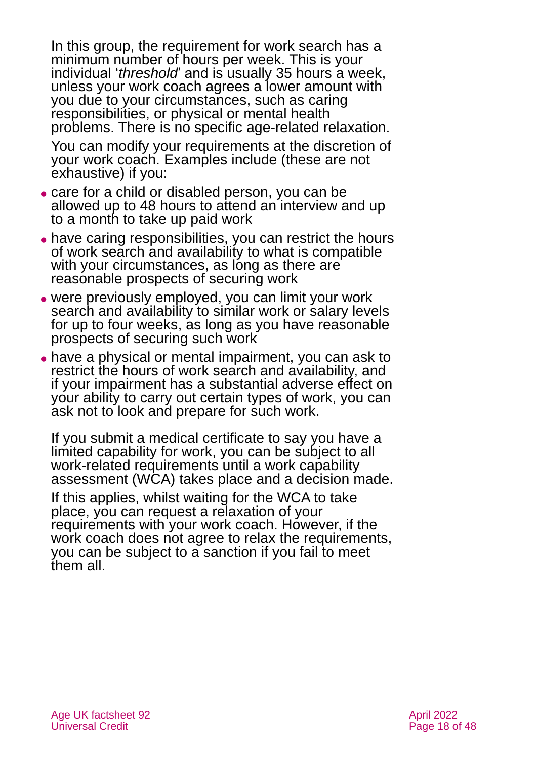In this group, the requirement for work search has a minimum number of hours per week. This is your individual *'threshold'* and is usually 35 hours a week. unless your work coach agrees a lower amount with you due to your circumstances, such as caring responsibilities, or physical or mental health problems. There is no specific age-related relaxation.

You can modify your requirements at the discretion of your work coach. Examples include (these are not exhaustive) if you:

- ⚫ care for a child or disabled person, you can be allowed up to 48 hours to attend an interview and up to a month to take up paid work
- ⚫ have caring responsibilities, you can restrict the hours of work search and availability to what is compatible with your circumstances, as long as there are reasonable prospects of securing work
- ⚫ were previously employed, you can limit your work search and availability to similar work or salary levels for up to four weeks, as long as you have reasonable prospects of securing such work
- have a physical or mental impairment, you can ask to restrict the hours of work search and availability, and if your impairment has a substantial adverse effect on your ability to carry out certain types of work, you can ask not to look and prepare for such work.

If you submit a medical certificate to say you have a limited capability for work, you can be subject to all work-related requirements until a work capability assessment (WCA) takes place and a decision made.

If this applies, whilst waiting for the WCA to take place, you can request a relaxation of your requirements with your work coach. However, if the work coach does not agree to relax the requirements, you can be subject to a sanction if you fail to meet them all.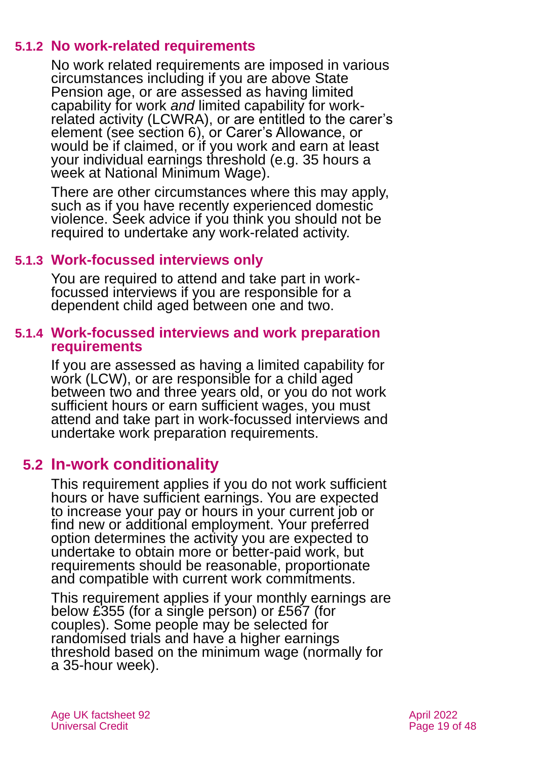### **5.1.2 No work-related requirements**

No work related requirements are imposed in various circumstances including if you are above State Pension age, or are assessed as having limited capability for work *and* limited capability for workrelated activity (LCWRA), or are entitled to the carer's element (see [section 6\)](#page-23-0), or Carer's Allowance, or would be if claimed, or if you work and earn at least your individual earnings threshold (e.g. 35 hours a week at National Minimum Wage).

There are other circumstances where this may apply, such as if you have recently experienced domestic violence. Seek advice if you think you should not be required to undertake any work-related activity.

### **5.1.3 Work-focussed interviews only**

You are required to attend and take part in workfocussed interviews if you are responsible for a dependent child aged between one and two.

#### **5.1.4 Work-focussed interviews and work preparation requirements**

If you are assessed as having a limited capability for work (LCW), or are responsible for a child aged between two and three years old, or you do not work sufficient hours or earn sufficient wages, you must attend and take part in work-focussed interviews and undertake work preparation requirements.

# **5.2 In-work conditionality**

This requirement applies if you do not work sufficient hours or have sufficient earnings. You are expected to increase your pay or hours in your current job or find new or additional employment. Your preferred option determines the activity you are expected to undertake to obtain more or better-paid work, but requirements should be reasonable, proportionate and compatible with current work commitments.

This requirement applies if your monthly earnings are below £355 (for a single person) or £567 (for couples). Some people may be selected for randomised trials and have a higher earnings threshold based on the minimum wage (normally for a 35-hour week).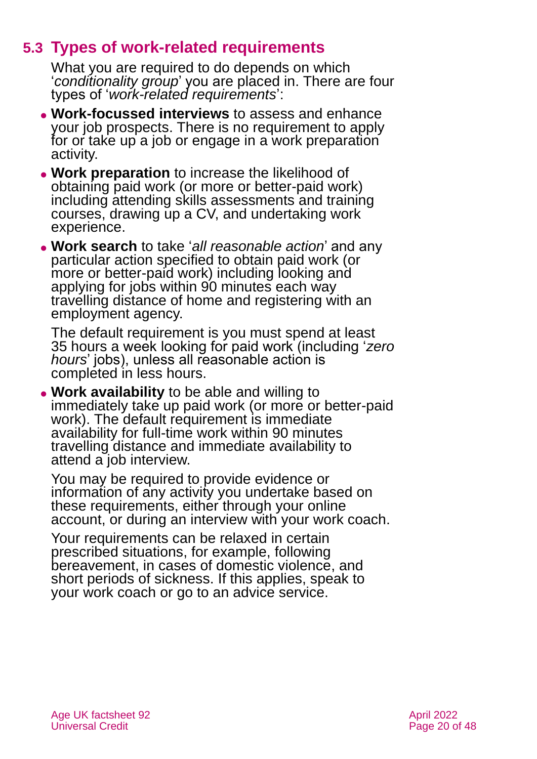# **5.3 Types of work-related requirements**

<span id="page-19-0"></span>What you are required to do depends on which '*conditionality group*' you are placed in. There are four types of '*work-related requirements*':

- ⚫ **Work-focussed interviews** to assess and enhance your job prospects. There is no requirement to apply for or take up a job or engage in a work preparation activity.
- ⚫ **Work preparation** to increase the likelihood of obtaining paid work (or more or better-paid work) including attending skills assessments and training courses, drawing up a CV, and undertaking work experience.
- ⚫ **Work search** to take '*all reasonable action*' and any particular action specified to obtain paid work (or more or better-paid work) including looking and applying for jobs within 90 minutes each way travelling distance of home and registering with an employment agency.

The default requirement is you must spend at least 35 hours a week looking for paid work (including '*zero hours*' jobs), unless all reasonable action is completed in less hours.

⚫ **Work availability** to be able and willing to immediately take up paid work (or more or better-paid work). The default requirement is immediate availability for full-time work within 90 minutes travelling distance and immediate availability to attend a job interview.

You may be required to provide evidence or information of any activity you undertake based on these requirements, either through your online account, or during an interview with your work coach.

Your requirements can be relaxed in certain prescribed situations, for example, following bereavement, in cases of domestic violence, and short periods of sickness. If this applies, speak to your work coach or go to an advice service.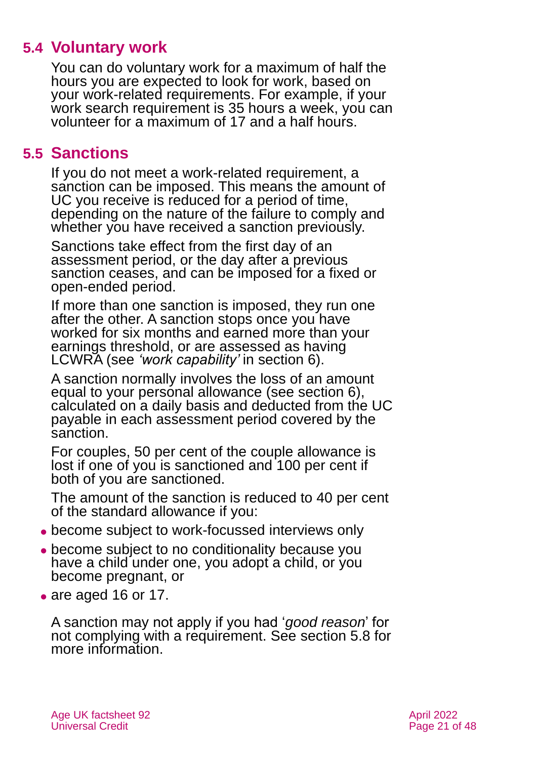# **5.4 Voluntary work**

You can do voluntary work for a maximum of half the hours you are expected to look for work, based on your work-related requirements. For example, if your work search requirement is 35 hours a week, you can volunteer for a maximum of 17 and a half hours.

# <span id="page-20-0"></span>**5.5 Sanctions**

If you do not meet a work-related requirement, a sanction can be imposed. This means the amount of UC you receive is reduced for a period of time, depending on the nature of the failure to comply and whether you have received a sanction previously.

Sanctions take effect from the first day of an assessment period, or the day after a previous sanction ceases, and can be imposed for a fixed or open-ended period.

If more than one sanction is imposed, they run one after the other. A sanction stops once you have worked for six months and earned more than your earnings threshold, or are assessed as having LCWRA (see *'work capability'* in [section 6\)](#page-24-0).

A sanction normally involves the loss of an amount equal to your personal allowance (see [section 6\)](#page-23-0), calculated on a daily basis and deducted from the UC payable in each assessment period covered by the sanction.

For couples, 50 per cent of the couple allowance is lost if one of you is sanctioned and 100 per cent if both of you are sanctioned.

The amount of the sanction is reduced to 40 per cent of the standard allowance if you:

- ⚫ become subject to work-focussed interviews only
- ⚫ become subject to no conditionality because you have a child under one, you adopt a child, or you become pregnant, or
- are aged 16 or 17.

A sanction may not apply if you had '*good reason*' for not complying with a requirement. See [section 5.8](#page-22-0) for more information.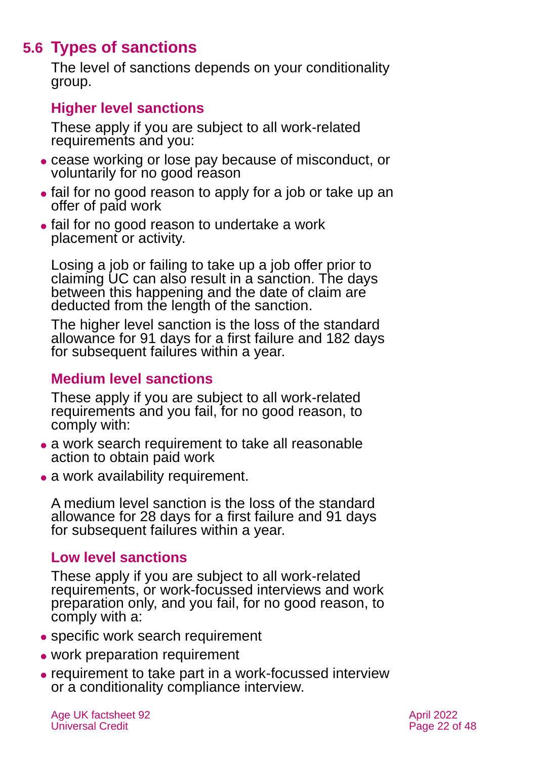# **5.6 Types of sanctions**

The level of sanctions depends on your conditionality group.

### **Higher level sanctions**

These apply if you are subject to all work-related requirements and you:

- ⚫ cease working or lose pay because of misconduct, or voluntarily for no good reason
- ⚫ fail for no good reason to apply for a job or take up an offer of paid work
- ⚫ fail for no good reason to undertake a work placement or activity.

Losing a job or failing to take up a job offer prior to claiming UC can also result in a sanction. The days between this happening and the date of claim are deducted from the length of the sanction.

The higher level sanction is the loss of the standard allowance for 91 days for a first failure and 182 days for subsequent failures within a year.

### **Medium level sanctions**

These apply if you are subject to all work-related requirements and you fail, for no good reason, to comply with:

- a work search requirement to take all reasonable action to obtain paid work
- a work availability requirement.

A medium level sanction is the loss of the standard allowance for 28 days for a first failure and 91 days for subsequent failures within a year.

### **Low level sanctions**

These apply if you are subject to all work-related requirements, or work-focussed interviews and work preparation only, and you fail, for no good reason, to comply with a:

- ⚫ specific work search requirement
- work preparation requirement
- ⚫ requirement to take part in a work-focussed interview or a conditionality compliance interview.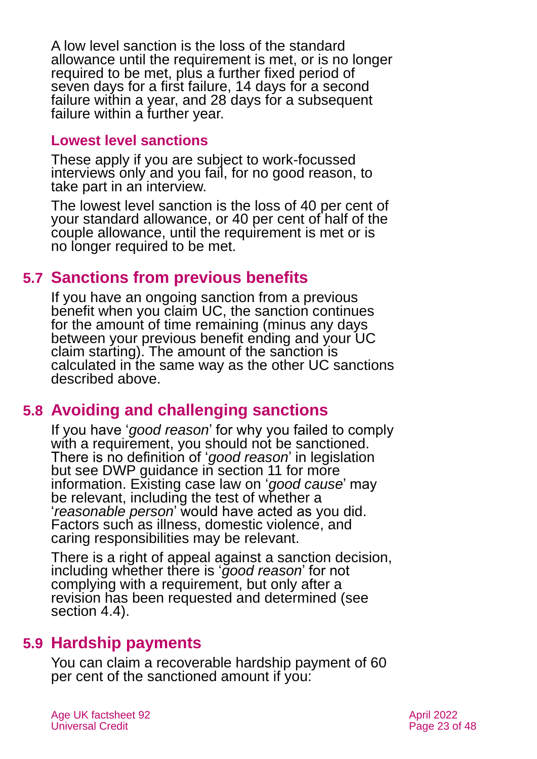A low level sanction is the loss of the standard allowance until the requirement is met, or is no longer required to be met, plus a further fixed period of seven days for a first failure, 14 days for a second failure within a year, and 28 days for a subsequent failure within a further year.

#### **Lowest level sanctions**

These apply if you are subject to work-focussed interviews only and you fail, for no good reason, to take part in an interview.

The lowest level sanction is the loss of 40 per cent of your standard allowance, or 40 per cent of half of the couple allowance, until the requirement is met or is no longer required to be met.

# **5.7 Sanctions from previous benefits**

If you have an ongoing sanction from a previous benefit when you claim UC, the sanction continues for the amount of time remaining (minus any days between your previous benefit ending and your UC claim starting). The amount of the sanction is calculated in the same way as the other UC sanctions described above.

# <span id="page-22-0"></span>**5.8 Avoiding and challenging sanctions**

If you have '*good reason*' for why you failed to comply with a requirement, you should not be sanctioned. There is no definition of '*good reason*' in legislation but see DWP guidance in [section 11](#page-39-0) for more information. Existing case law on '*good cause*' may be relevant, including the test of whether a '*reasonable person*' would have acted as you did. Factors such as illness, domestic violence, and caring responsibilities may be relevant.

There is a right of appeal against a sanction decision, including whether there is '*good reason*' for not complying with a requirement, but only after a revision has been requested and determined (see [section 4.4\)](#page-15-0).

# **5.9 Hardship payments**

You can claim a recoverable hardship payment of 60 per cent of the sanctioned amount if you: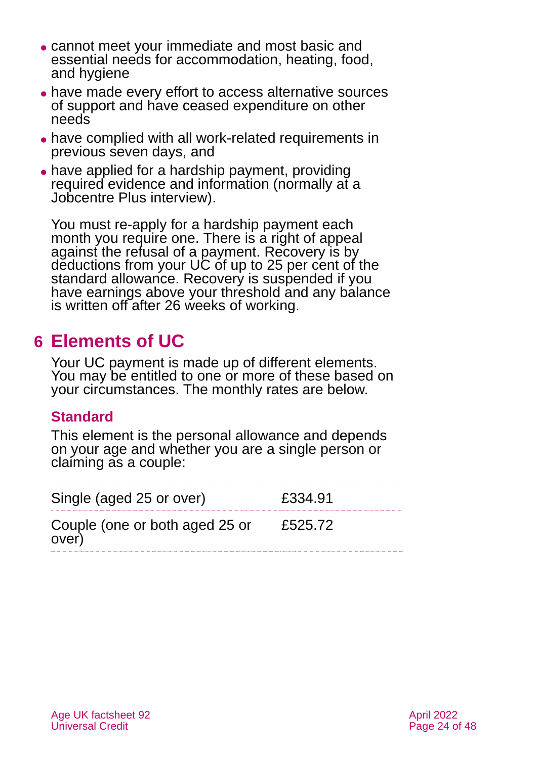- ⚫ cannot meet your immediate and most basic and essential needs for accommodation, heating, food, and hygiene
- ⚫ have made every effort to access alternative sources of support and have ceased expenditure on other needs
- ⚫ have complied with all work-related requirements in previous seven days, and
- have applied for a hardship payment, providing required evidence and information (normally at a Jobcentre Plus interview).

You must re-apply for a hardship payment each month you require one. There is a right of appeal against the refusal of a payment. Recovery is by deductions from your UC of up to 25 per cent of the standard allowance. Recovery is suspended if you have earnings above your threshold and any balance is written off after 26 weeks of working.

# <span id="page-23-0"></span>**6 Elements of UC**

Your UC payment is made up of different elements. You may be entitled to one or more of these based on your circumstances. The monthly rates are below.

# **Standard**

This element is the personal allowance and depends on your age and whether you are a single person or claiming as a couple:

| Single (aged 25 or over)                | £334.91 |
|-----------------------------------------|---------|
| Couple (one or both aged 25 or<br>over) | £525.72 |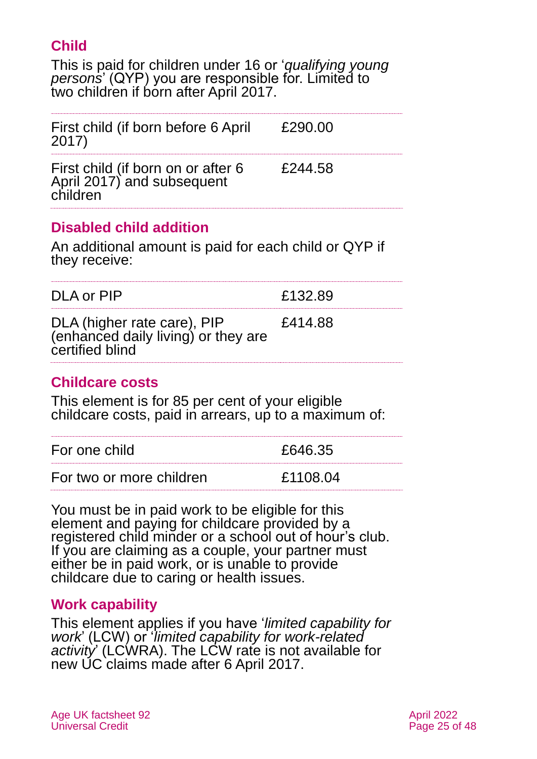# **Child**

This is paid for children under 16 or '*qualifying young persons*' (QYP) you are responsible for. Limited to two children if born after April 2017.

| First child (if born before 6 April<br>2017)                                 | £290.00 |
|------------------------------------------------------------------------------|---------|
| First child (if born on or after 6<br>April 2017) and subsequent<br>children | £244.58 |

# **Disabled child addition**

An additional amount is paid for each child or QYP if they receive:

| DLA or PIP                                                                            | £132.89 |
|---------------------------------------------------------------------------------------|---------|
| DLA (higher rate care), PIP<br>(enhanced daily living) or they are<br>certified blind | £414.88 |

### **Childcare costs**

This element is for 85 per cent of your eligible childcare costs, paid in arrears, up to a maximum of:

| For one child            | £646.35  |
|--------------------------|----------|
| For two or more children | £1108.04 |

You must be in paid work to be eligible for this element and paying for childcare provided by a registered child minder or a school out of hour's club. If you are claiming as a couple, your partner must either be in paid work, or is unable to provide childcare due to caring or health issues.

### <span id="page-24-0"></span>**Work capability**

This element applies if you have '*limited capability for work*' (LCW) or '*limited capability for work-related activity*' (LCWRA). The LCW rate is not available for new UC claims made after 6 April 2017.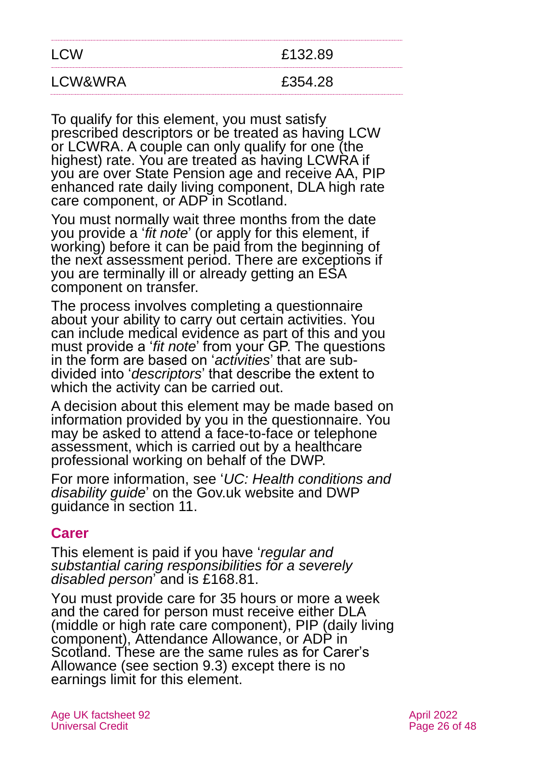| <b>LCW</b> | £132.89 |
|------------|---------|
| LCW&WRA    | £354.28 |

To qualify for this element, you must satisfy prescribed descriptors or be treated as having LCW or LCWRA. A couple can only qualify for one (the highest) rate. You are treated as having LCWRA if you are over State Pension age and receive AA, PIP enhanced rate daily living component, DLA high rate care component, or ADP in Scotland.

You must normally wait three months from the date you provide a '*fit note*' (or apply for this element, if working) before it can be paid from the beginning of the next assessment period. There are exceptions if you are terminally ill or already getting an ESA component on transfer.

The process involves completing a questionnaire about your ability to carry out certain activities. You can include medical evidence as part of this and you must provide a '*fit note*' from your GP. The questions in the form are based on '*activities*' that are subdivided into '*descriptors*' that describe the extent to which the activity can be carried out.

A decision about this element may be made based on information provided by you in the questionnaire. You may be asked to attend a face-to-face or telephone assessment, which is carried out by a healthcare professional working on behalf of the DWP.

For more information, see '*[UC: Health conditions and](https://www.gov.uk/government/publications/universal-credit-if-you-have-a-disability-or-health-condition-quick-guide/universal-credit-if-you-have-a-disability-or-health-condition)  [disability guide](https://www.gov.uk/government/publications/universal-credit-if-you-have-a-disability-or-health-condition-quick-guide/universal-credit-if-you-have-a-disability-or-health-condition)*' on the [Gov.uk](https://www.gov.uk/health-conditions-disability-universal-credit) website and DWP guidance in [section 11.](#page-39-0)

### **Carer**

This element is paid if you have '*regular and substantial caring responsibilities for a severely disabled person*' and is £168.81.

You must provide care for 35 hours or more a week and the cared for person must receive either DLA (middle or high rate care component), PIP (daily living component), Attendance Allowance, or ADP in Scotland. These are the same rules as for Carer's Allowance (see [section 9.3\)](#page-36-0) except there is no earnings limit for this element.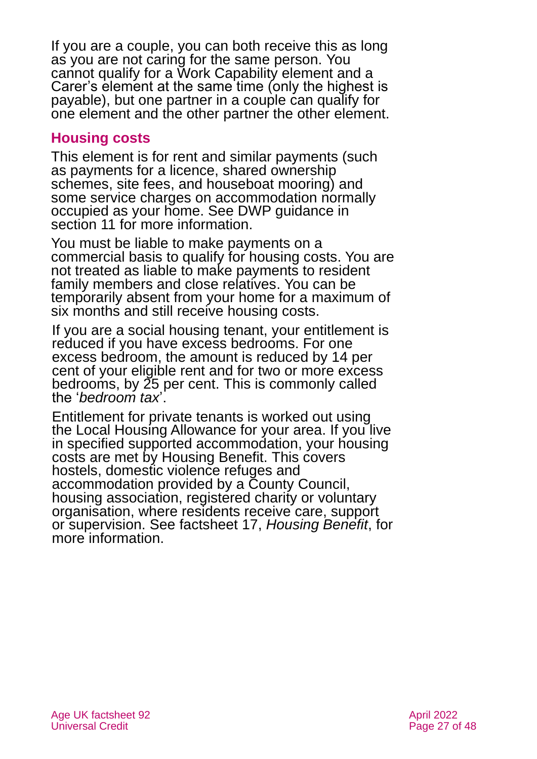If you are a couple, you can both receive this as long as you are not caring for the same person. You cannot qualify for a Work Capability element and a Carer's element at the same time (only the highest is payable), but one partner in a couple can qualify for one element and the other partner the other element.

### **Housing costs**

This element is for rent and similar payments (such as payments for a licence, shared ownership schemes, site fees, and houseboat mooring) and some service charges on accommodation normally occupied as your home. See DWP guidance in [section 11](#page-39-0) for more information.

You must be liable to make payments on a commercial basis to qualify for housing costs. You are not treated as liable to make payments to resident family members and close relatives. You can be temporarily absent from your home for a maximum of six months and still receive housing costs.

If you are a social housing tenant, your entitlement is reduced if you have excess bedrooms. For one excess bedroom, the amount is reduced by 14 per cent of your eligible rent and for two or more excess bedrooms, by 25 per cent. This is commonly called the '*bedroom tax*'.

Entitlement for private tenants is worked out using the Local Housing Allowance for your area. If you live in specified supported accommodation, your housing costs are met by Housing Benefit. This covers hostels, domestic violence refuges and accommodation provided by a County Council, housing association, registered charity or voluntary organisation, where residents receive care, support or supervision. See factsheet 17, *[Housing Benefit](https://www.ageuk.org.uk/globalassets/age-uk/documents/factsheets/fs17_housing_benefit_fcs.pdf)*, for more information.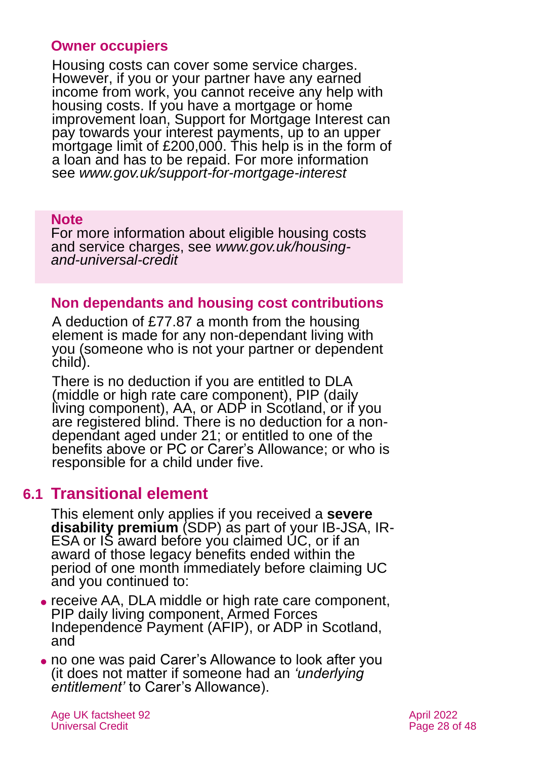#### **Owner occupiers**

Housing costs can cover some service charges. However, if you or your partner have any earned income from work, you cannot receive any help with housing costs. If you have a mortgage or home improvement loan, Support for Mortgage Interest can pay towards your interest payments, up to an upper mortgage limit of £200,000. This help is in the form of a loan and has to be repaid. For more information see *[www.gov.uk/support-for-mortgage-interest](http://www.gov.uk/support-for-mortgage-interest)*

#### **Note**

For more information about eligible housing costs and service charges, see *[www.gov.uk/housing](http://www.gov.uk/housing-and-universal-credit)[and-universal-credit](http://www.gov.uk/housing-and-universal-credit)*

#### **Non dependants and housing cost contributions**

A deduction of £77.87 a month from the housing element is made for any non-dependant living with you (someone who is not your partner or dependent child).

There is no deduction if you are entitled to DLA (middle or high rate care component), PIP (daily living component), AA, or ADP in Scotland, or if you are registered blind. There is no deduction for a nondependant aged under 21; or entitled to one of the benefits above or PC or Carer's Allowance; or who is responsible for a child under five.

# <span id="page-27-0"></span>**6.1 Transitional element**

This element only applies if you received a **severe disability premium** (SDP) as part of your IB-JSA, IR-ESA or IS award before you claimed UC, or if an award of those legacy benefits ended within the period of one month immediately before claiming UC and you continued to:

- ⚫ receive AA, DLA middle or high rate care component, PIP daily living component, Armed Forces Independence Payment (AFIP), or ADP in Scotland, and
- ⚫ no one was paid Carer's Allowance to look after you (it does not matter if someone had an *'underlying entitlement'* to Carer's Allowance).

Age UK factsheet 92 April 2022 April 2022 Universal Credit **Page 28 of 48**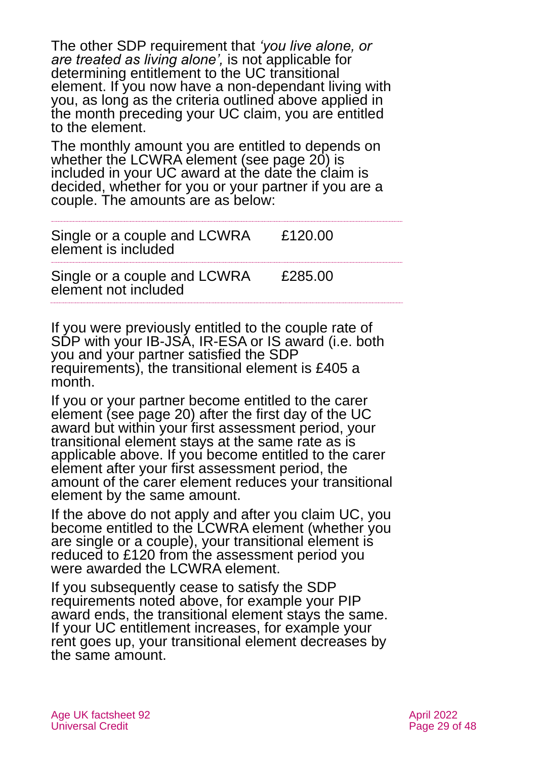The other SDP requirement that *'you live alone, or are treated as living alone',* is not applicable for determining entitlement to the UC transitional element. If you now have a non-dependant living with you, as long as the criteria outlined above applied in the month preceding your UC claim, you are entitled to the element.

The monthly amount you are entitled to depends on whether the LCWRA element (see page 20) is included in your UC award at the date the claim is decided, whether for you or your partner if you are a couple. The amounts are as below:

Single or a couple and LCWRA element is included £120.00

Single or a couple and LCWRA element not included £285.00

If you were previously entitled to the couple rate of SDP with your IB-JSA, IR-ESA or IS award (i.e. both you and your partner satisfied the SDP requirements), the transitional element is £405 a month.

If you or your partner become entitled to the carer element (see page 20) after the first day of the UC award but within your first assessment period, your transitional element stays at the same rate as is applicable above. If you become entitled to the carer element after your first assessment period, the amount of the carer element reduces your transitional element by the same amount.

If the above do not apply and after you claim UC, you become entitled to the LCWRA element (whether you are single or a couple), your transitional element is reduced to £120 from the assessment period you were awarded the LCWRA element.

If you subsequently cease to satisfy the SDP requirements noted above, for example your PIP award ends, the transitional element stays the same. If your UC entitlement increases, for example your rent goes up, your transitional element decreases by the same amount.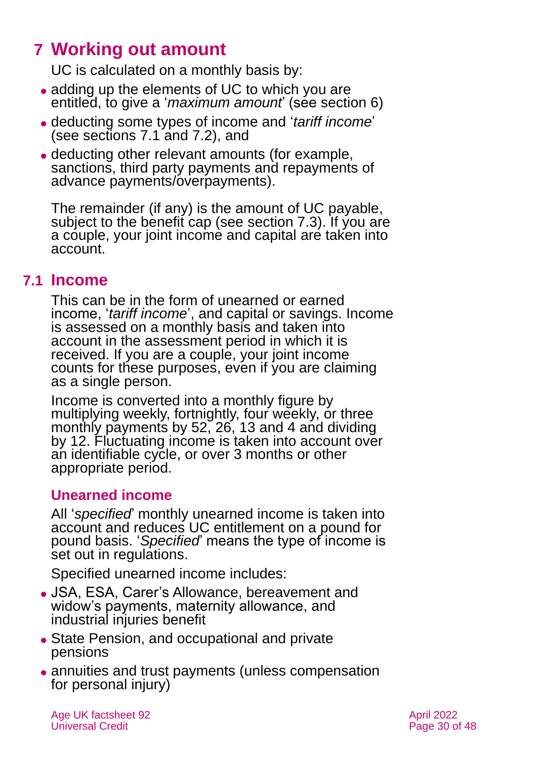# <span id="page-29-0"></span>**7 Working out amount**

UC is calculated on a monthly basis by:

- adding up the elements of UC to which you are entitled, to give a '*maximum amount*' (see [section 6\)](#page-23-0)
- ⚫ deducting some types of income and '*tariff income*' (see [sections 7.1](#page-29-1) [and 7.2\)](#page-31-0), and
- ⚫ deducting other relevant amounts (for example, sanctions, third party payments and repayments of advance payments/overpayments).

The remainder (if any) is the amount of UC payable, subject to the benefit cap (see [section 7.3\)](#page-32-0). If you are a couple, your joint income and capital are taken into account.

# <span id="page-29-1"></span>**7.1 Income**

This can be in the form of unearned or earned income, '*tariff income*', and capital or savings. Income is assessed on a monthly basis and taken into account in the assessment period in which it is received. If you are a couple, your joint income counts for these purposes, even if you are claiming as a single person.

Income is converted into a monthly figure by multiplying weekly, fortnightly, four weekly, or three monthly payments by 52, 26, 13 and 4 and dividing by 12. Fluctuating income is taken into account over an identifiable cycle, or over 3 months or other appropriate period.

# **Unearned income**

All '*specified*' monthly unearned income is taken into account and reduces UC entitlement on a pound for pound basis. '*Specified*' means the type of income is set out in regulations.

Specified unearned income includes:

- ⚫ JSA, ESA, Carer's Allowance, bereavement and widow's payments, maternity allowance, and industrial injuries benefit
- ⚫ State Pension, and occupational and private pensions
- annuities and trust payments (unless compensation for personal injury)

Age UK factsheet 92 April 2022 Universal Credit **Page 30 of 48**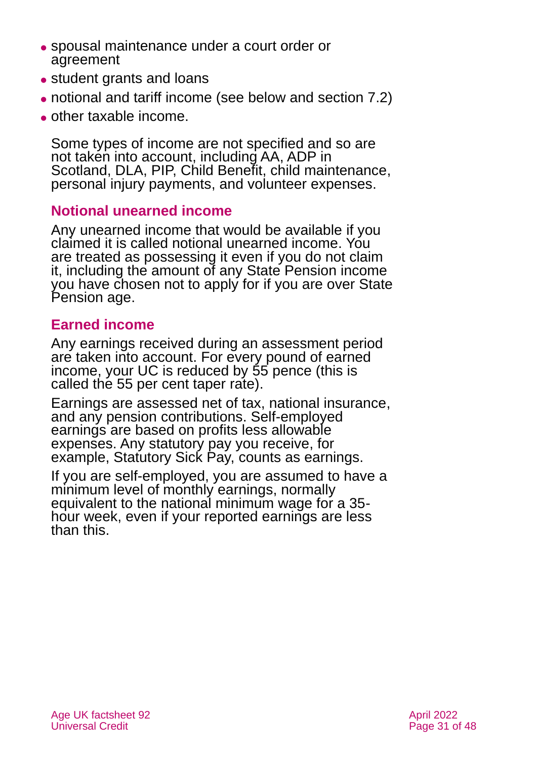- ⚫ spousal maintenance under a court order or agreement
- ⚫ student grants and loans
- ⚫ notional and tariff income (see below and [section 7.2\)](#page-31-0)
- ⚫ other taxable income.

Some types of income are not specified and so are not taken into account, including AA, ADP in Scotland, DLA, PIP, Child Benefit, child maintenance, personal injury payments, and volunteer expenses.

### **Notional unearned income**

Any unearned income that would be available if you claimed it is called notional unearned income. You are treated as possessing it even if you do not claim it, including the amount of any State Pension income you have chosen not to apply for if you are over State Pension age.

### **Earned income**

Any earnings received during an assessment period are taken into account. For every pound of earned income, your UC is reduced by 55 pence (this is called the 55 per cent taper rate).

Earnings are assessed net of tax, national insurance, and any pension contributions. Self-employed earnings are based on profits less allowable expenses. Any statutory pay you receive, for example, Statutory Sick Pay, counts as earnings.

If you are self-employed, you are assumed to have a minimum level of monthly earnings, normally equivalent to the national minimum wage for a 35 hour week, even if your reported earnings are less than this.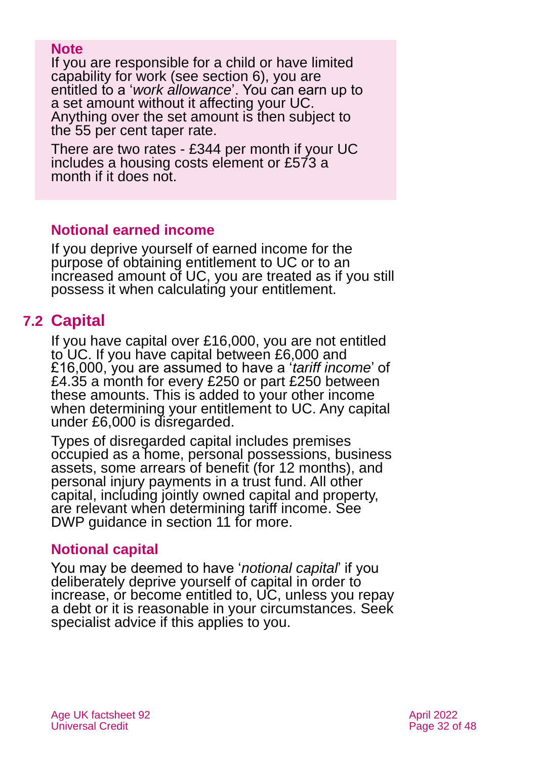#### **Note**

If you are responsible for a child or have limited capability for work (see [section 6\)](#page-23-0), you are entitled to a '*work allowance*'. You can earn up to a set amount without it affecting your UC. Anything over the set amount is then subject to the 55 per cent taper rate.

There are two rates - £344 per month if your UC includes a housing costs element or £573 a month if it does not.

### **Notional earned income**

If you deprive yourself of earned income for the purpose of obtaining entitlement to UC or to an increased amount of UC, you are treated as if you still possess it when calculating your entitlement.

# <span id="page-31-0"></span>**7.2 Capital**

If you have capital over £16,000, you are not entitled to UC. If you have capital between £6,000 and £16,000, you are assumed to have a '*tariff income*' of £4.35 a month for every £250 or part £250 between these amounts. This is added to your other income when determining your entitlement to UC. Any capital under £6,000 is disregarded.

Types of disregarded capital includes premises occupied as a home, personal possessions, business assets, some arrears of benefit (for 12 months), and personal injury payments in a trust fund. All other capital, including jointly owned capital and property, are relevant when determining tariff income. See DWP guidance in [section 11](#page-39-0) for more.

### **Notional capital**

You may be deemed to have '*notional capital*' if you deliberately deprive yourself of capital in order to increase, or become entitled to, UC, unless you repay a debt or it is reasonable in your circumstances. Seek specialist advice if this applies to you.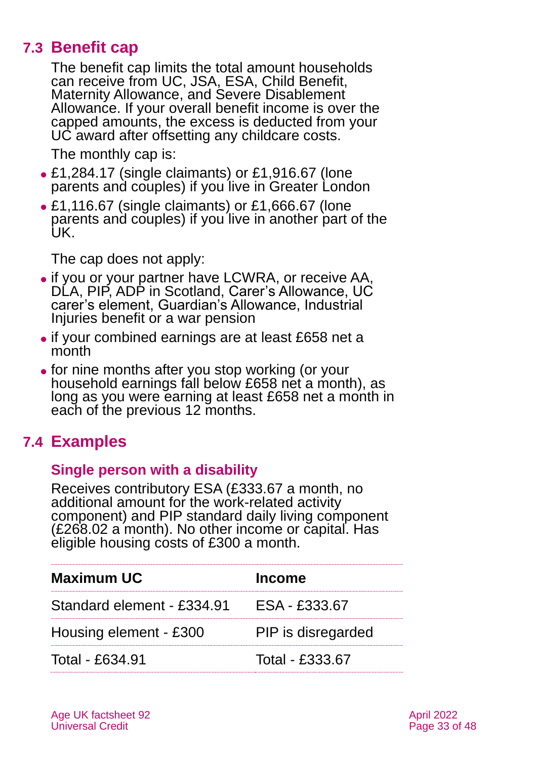# **7.3 Benefit cap**

<span id="page-32-0"></span>The benefit cap limits the total amount households can receive from UC, JSA, ESA, Child Benefit, Maternity Allowance, and Severe Disablement Allowance. If your overall benefit income is over the capped amounts, the excess is deducted from your UC award after offsetting any childcare costs.

The monthly cap is:

- ⚫ £1,284.17 (single claimants) or £1,916.67 (lone parents and couples) if you live in Greater London
- ⚫ £1,116.67 (single claimants) or £1,666.67 (lone parents and couples) if you live in another part of the UK.

The cap does not apply:

- ⚫ if you or your partner have LCWRA, or receive AA, DLA, PIP, ADP in Scotland, Carer's Allowance, UC carer's element, Guardian's Allowance, Industrial Injuries benefit or a war pension
- ⚫ if your combined earnings are at least £658 net a month
- ⚫ for nine months after you stop working (or your household earnings fall below £658 net a month), as long as you were earning at least £658 net a month in each of the previous 12 months.

# **7.4 Examples**

### **Single person with a disability**

Receives contributory ESA (£333.67 a month, no additional amount for the work-related activity component) and PIP standard daily living component (£268.02 a month). No other income or capital. Has eligible housing costs of £300 a month.

| <b>Maximum UC</b>          | Income             |
|----------------------------|--------------------|
| Standard element - £334.91 | ESA - £333.67      |
| Housing element - £300     | PIP is disregarded |
| Total - £634.91            | Total - £333.67    |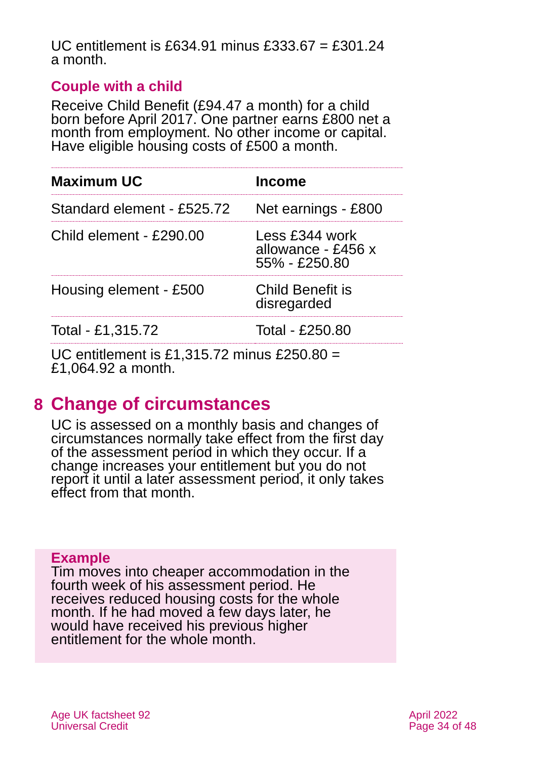#### UC entitlement is £634.91 minus £333.67 = £301.24 a month.

### **Couple with a child**

Receive Child Benefit (£94.47 a month) for a child born before April 2017. One partner earns £800 net a month from employment. No other income or capital. Have eligible housing costs of £500 a month.

| <b>Maximum UC</b>                               | <b>Income</b>                                            |
|-------------------------------------------------|----------------------------------------------------------|
| Standard element - £525.72                      | Net earnings - £800                                      |
| Child element - £290.00                         | Less £344 work<br>allowance - £456 x<br>$55\% - £250.80$ |
| Housing element - £500                          | <b>Child Benefit is</b><br>disregarded                   |
| Total - £1,315.72                               | Total - £250.80                                          |
| $10$ splite ment in $04.245.79$ minus $0050.00$ |                                                          |

UC entitlement is £1,315.72 minus £250.80 = £1,064.92 a month.

# <span id="page-33-0"></span>**8 Change of circumstances**

UC is assessed on a monthly basis and changes of circumstances normally take effect from the first day of the assessment period in which they occur. If a change increases your entitlement but you do not report it until a later assessment period, it only takes effect from that month.

### **Example**

Tim moves into cheaper accommodation in the fourth week of his assessment period. He receives reduced housing costs for the whole month. If he had moved a few days later, he would have received his previous higher entitlement for the whole month.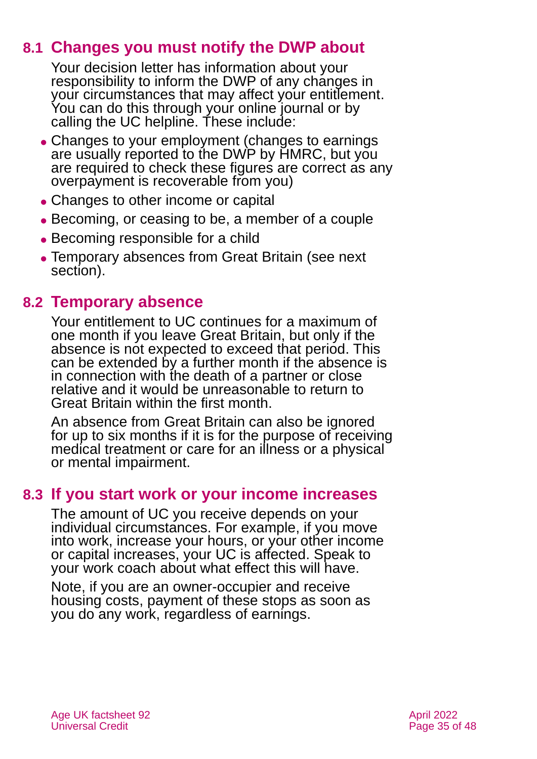# **8.1 Changes you must notify the DWP about**

Your decision letter has information about your responsibility to inform the DWP of any changes in your circumstances that may affect your entitlement. You can do this through your online journal or by calling the UC helpline. These include:

- ⚫ Changes to your employment (changes to earnings are usually reported to the DWP by HMRC, but you are required to check these figures are correct as any overpayment is recoverable from you)
- Changes to other income or capital
- ⚫ Becoming, or ceasing to be, a member of a couple
- ⚫ Becoming responsible for a child
- ⚫ Temporary absences from Great Britain (see next section).

# **8.2 Temporary absence**

Your entitlement to UC continues for a maximum of one month if you leave Great Britain, but only if the absence is not expected to exceed that period. This can be extended by a further month if the absence is in connection with the death of a partner or close relative and it would be unreasonable to return to Great Britain within the first month.

An absence from Great Britain can also be ignored for up to six months if it is for the purpose of receiving medical treatment or care for an illness or a physical or mental impairment.

# **8.3 If you start work or your income increases**

The amount of UC you receive depends on your individual circumstances. For example, if you move into work, increase your hours, or your other income or capital increases, your UC is affected. Speak to your work coach about what effect this will have.

Note, if you are an owner-occupier and receive housing costs, payment of these stops as soon as you do any work, regardless of earnings.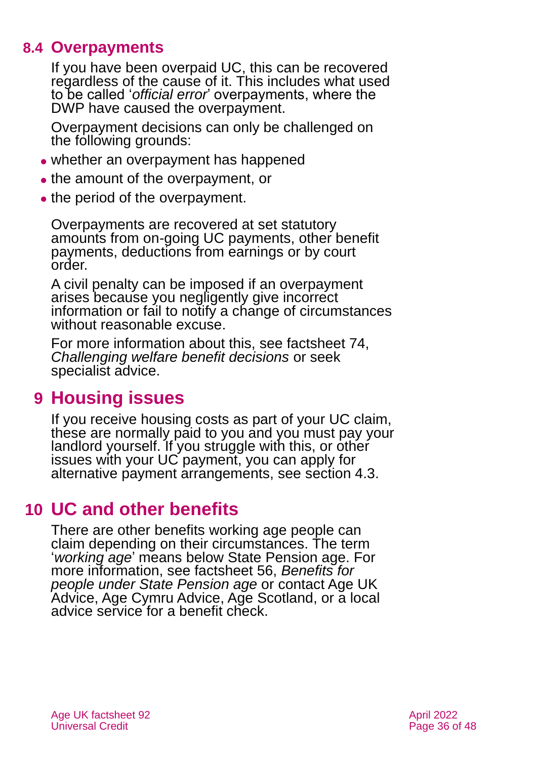# **8.4 Overpayments**

If you have been overpaid UC, this can be recovered regardless of the cause of it. This includes what used to be called '*official error*' overpayments, where the DWP have caused the overpayment.

Overpayment decisions can only be challenged on the following grounds:

- whether an overpayment has happened
- the amount of the overpayment, or
- the period of the overpayment.

Overpayments are recovered at set statutory amounts from on-going UC payments, other benefit payments, deductions from earnings or by court order.

A civil penalty can be imposed if an overpayment arises because you negligently give incorrect information or fail to notify a change of circumstances without reasonable excuse.

For more information about this, see factsheet 74, *[Challenging welfare benefit decisions](https://www.ageuk.org.uk/globalassets/age-uk/documents/factsheets/fs74_challenging_welfare_benefit_decisions_fcs.pdf)* or seek specialist advice.

# <span id="page-35-0"></span>**9 Housing issues**

If you receive housing costs as part of your UC claim, these are normally paid to you and you must pay your landlord yourself. If you struggle with this, or other issues with your UC payment, you can apply for alternative payment arrangements, see [section 4.3.](#page-15-1)

# <span id="page-35-1"></span>**10 UC and other benefits**

There are other benefits working age people can claim depending on their circumstances. The term '*working age*' means below State Pension age. For more information, see factsheet 56, *[Benefits for](https://www.ageuk.org.uk/globalassets/age-uk/documents/factsheets/fs56-benefits-for-people-under-state-pension-age.pdf)  [people under State Pension age](https://www.ageuk.org.uk/globalassets/age-uk/documents/factsheets/fs56-benefits-for-people-under-state-pension-age.pdf)* or contact [Age UK](#page-46-2)  [Advice,](#page-46-2) [Age Cymru](#page-46-5) Advice, [Age Scotland,](#page-46-0) or a local advice service for a benefit check.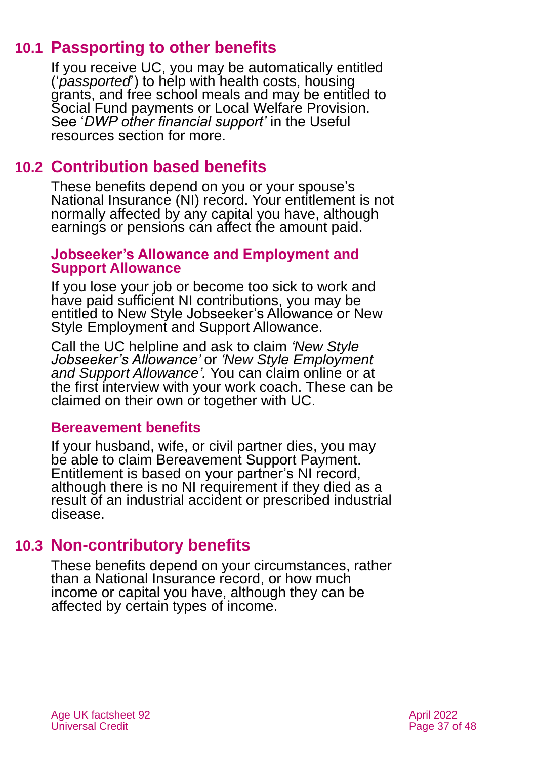# **10.1 Passporting to other benefits**

If you receive UC, you may be automatically entitled ('*passported*') to help with health costs, housing grants, and free school meals and may be entitled to Social Fund payments or Local Welfare Provision. See '*[DWP other financial support'](#page-42-2)* in the [Useful](#page-42-1)  [resources section](#page-42-1) for more.

# **10.2 Contribution based benefits**

These benefits depend on you or your spouse's National Insurance (NI) record. Your entitlement is not normally affected by any capital you have, although earnings or pensions can affect the amount paid.

#### **Jobseeker's Allowance and Employment and Support Allowance**

If you lose your job or become too sick to work and have paid sufficient NI contributions, you may be entitled to New Style Jobseeker's Allowance or New Style Employment and Support Allowance.

Call the UC helpline and ask to claim *'New Style Jobseeker's Allowance'* or *'New Style Employment and Support Allowance'.* You can claim online or at the first interview with your work coach. These can be claimed on their own or together with UC.

### **Bereavement benefits**

If your husband, wife, or civil partner dies, you may be able to claim Bereavement Support Payment. Entitlement is based on your partner's NI record, although there is no NI requirement if they died as a result of an industrial accident or prescribed industrial disease.

# **10.3 Non-contributory benefits**

<span id="page-36-0"></span>These benefits depend on your circumstances, rather than a National Insurance record, or how much income or capital you have, although they can be affected by certain types of income.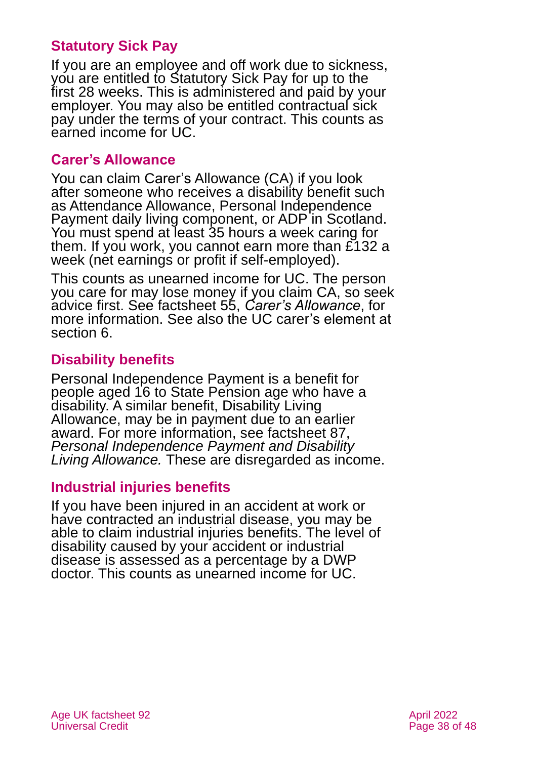### **Statutory Sick Pay**

If you are an employee and off work due to sickness, you are entitled to Statutory Sick Pay for up to the first 28 weeks. This is administered and paid by your employer. You may also be entitled contractual sick pay under the terms of your contract. This counts as earned income for UC.

#### **Carer's Allowance**

You can claim Carer's Allowance (CA) if you look after someone who receives a disability benefit such as Attendance Allowance, Personal Independence Payment daily living component, or ADP in Scotland. You must spend at least 35 hours a week caring for them. If you work, you cannot earn more than £132 a week (net earnings or profit if self-employed).

This counts as unearned income for UC. The person you care for may lose money if you claim CA, so seek advice first. See factsheet 55, *[Carer's Allowance](https://www.ageuk.org.uk/globalassets/age-uk/documents/factsheets/fs55_carers_allowance_fcs.pdf)*, for more information. See also the UC carer's element at [section 6.](#page-23-0)

### **Disability benefits**

Personal Independence Payment is a benefit for people aged 16 to State Pension age who have a disability. A similar benefit, Disability Living Allowance, may be in payment due to an earlier award. For more information, see factsheet 87, *[Personal Independence Payment and Disability](https://www.ageuk.org.uk/globalassets/age-uk/documents/factsheets/fs87_personal_independence_payment_fcs.pdf)  [Living Allowance.](https://www.ageuk.org.uk/globalassets/age-uk/documents/factsheets/fs87_personal_independence_payment_fcs.pdf)* These are disregarded as income.

### **Industrial injuries benefits**

If you have been injured in an accident at work or have contracted an industrial disease, you may be able to claim industrial injuries benefits. The level of disability caused by your accident or industrial disease is assessed as a percentage by a DWP doctor. This counts as unearned income for UC.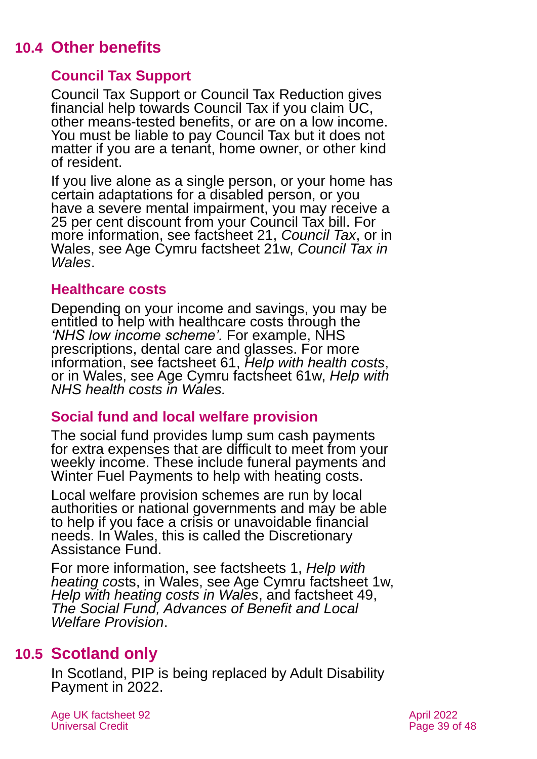# **10.4 Other benefits**

# **Council Tax Support**

Council Tax Support or Council Tax Reduction gives financial help towards Council Tax if you claim UC, other means-tested benefits, or are on a low income. You must be liable to pay Council Tax but it does not matter if you are a tenant, home owner, or other kind of resident.

If you live alone as a single person, or your home has certain adaptations for a disabled person, or you have a severe mental impairment, you may receive a 25 per cent discount from your Council Tax bill. For more information, see factsheet 21, *[Council Tax](https://www.ageuk.org.uk/globalassets/age-uk/documents/factsheets/fs21_council_tax_fcs.pdf)*, or in Wales, see Age Cymru factsheet 21w, *[Council Tax in](https://www.ageuk.org.uk/globalassets/age-cymru/documents/information-guides-and-factsheets/fs21w.pdf)  [Wales](https://www.ageuk.org.uk/globalassets/age-cymru/documents/information-guides-and-factsheets/fs21w.pdf)*.

### **Healthcare costs**

Depending on your income and savings, you may be entitled to help with healthcare costs through the *'NHS low income scheme'.* For example, NHS prescriptions, dental care and glasses. For more information, see factsheet 61, *[Help with health costs](https://www.ageuk.org.uk/globalassets/age-uk/documents/factsheets/fs61_help_with_health_costs_fcs.pdf)*, or in Wales, see Age Cymru factsheet 61w, *[Help with](https://www.ageuk.org.uk/globalassets/age-cymru/documents/information-guides-and-factsheets/fs61w.pdf)  [NHS health costs in Wales.](https://www.ageuk.org.uk/globalassets/age-cymru/documents/information-guides-and-factsheets/fs61w.pdf)*

# **Social fund and local welfare provision**

The social fund provides lump sum cash payments for extra expenses that are difficult to meet from your weekly income. These include funeral payments and Winter Fuel Payments to help with heating costs.

Local welfare provision schemes are run by local authorities or national governments and may be able to help if you face a crisis or unavoidable financial needs. In Wales, this is called the Discretionary Assistance Fund.

For more information, see [factsheets](https://www.ageuk.org.uk/globalassets/age-uk/documents/factsheets/fs1_help_with_heating_costs_fcs.pdf) 1, *Help with [heating cos](https://www.ageuk.org.uk/globalassets/age-uk/documents/factsheets/fs1_help_with_heating_costs_fcs.pdf)*ts, in Wales, [see Age Cymru factsheet 1w](https://www.ageuk.org.uk/globalassets/age-cymru/documents/information-guides-and-factsheets/fs1w.pdf), *[Help with heating costs in Wales](https://www.ageuk.org.uk/globalassets/age-cymru/documents/information-guides-and-factsheets/fs1w.pdf)*, and factsheet 4[9,](https://www.ageuk.org.uk/globalassets/age-uk/documents/factsheets/fs49_the_social_fund_advances_of_benefit_and_local_welfare_provision_fcs.pdf)  *[The Social Fund, Advances of Benefit and Local](https://www.ageuk.org.uk/globalassets/age-uk/documents/factsheets/fs49_the_social_fund_advances_of_benefit_and_local_welfare_provision_fcs.pdf)  [Welfare Provision](https://www.ageuk.org.uk/globalassets/age-uk/documents/factsheets/fs49_the_social_fund_advances_of_benefit_and_local_welfare_provision_fcs.pdf)*.

# **10.5 Scotland only**

In Scotland, PIP is being replaced by Adult Disability Payment in 2022.

Age UK factsheet 92 April 2022 April 2022 Universal Credit **Page 39 of 48**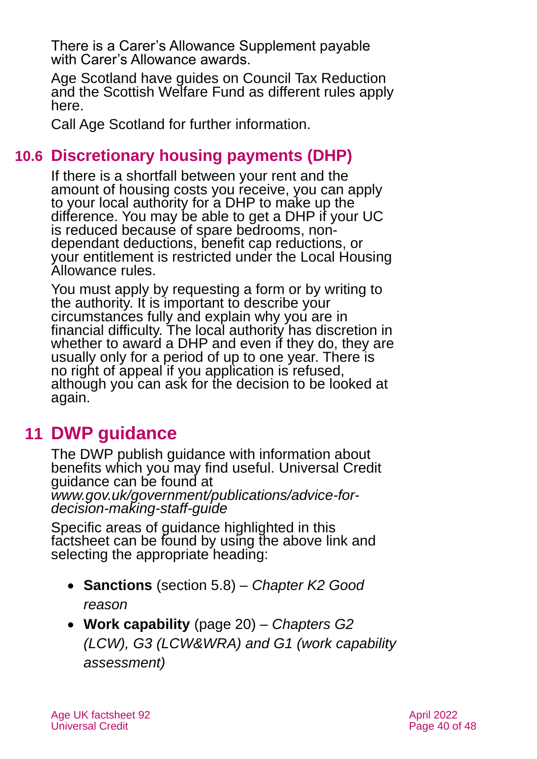There is a Carer's Allowance Supplement payable with Carer's Allowance awards.

Age Scotland have guides on [Council Tax Reduction](https://www.ageuk.org.uk/scotland/information-advice/benefits/council-tax-reduction/) and the [Scottish Welfare Fund](https://www.ageuk.org.uk/scotland/information-advice/benefits/scottish-welfare-fund/) as different rules apply here.

Call [Age Scotland fo](#page-46-0)r further information.

# **10.6 Discretionary housing payments (DHP)**

If there is a shortfall between your rent and the amount of housing costs you receive, you can apply to your local authority for a DHP to make up the difference. You may be able to get a DHP if your UC is reduced because of spare bedrooms, nondependant deductions, benefit cap reductions, or your entitlement is restricted under the Local Housing Allowance rules.

You must apply by requesting a form or by writing to the authority. It is important to describe your circumstances fully and explain why you are in financial difficulty. The local authority has discretion in whether to award a DHP and even if they do, they are usually only for a period of up to one year. There is no right of appeal if you application is refused, although you can ask for the decision to be looked at again.

# <span id="page-39-0"></span>**11 DWP guidance**

The DWP publish guidance with information about benefits which you may find useful. Universal Credit guidance can be found at *[www.gov.uk/government/publications/advice-for](http://www.gov.uk/government/publications/advice-for-decision-making-staff-guide)[decision-making-staff-guide](http://www.gov.uk/government/publications/advice-for-decision-making-staff-guide)*

Specific areas of guidance highlighted in this factsheet can be found by using the above link and selecting the appropriate heading:

- **Sanctions** [\(section 5.8\)](#page-22-0) *[Chapter K2 Good](https://assets.publishing.service.gov.uk/government/uploads/system/uploads/attachment_data/file/843716/admk2.pdf)  [reason](https://assets.publishing.service.gov.uk/government/uploads/system/uploads/attachment_data/file/843716/admk2.pdf)*
- **Work capability** (page 20) *[Chapters G2](https://assets.publishing.service.gov.uk/government/uploads/system/uploads/attachment_data/file/864929/admg2.pdf) (LCW), [G3 \(LCW&WRA\)](https://assets.publishing.service.gov.uk/government/uploads/system/uploads/attachment_data/file/866944/admg3.pdf) and [G1 \(work capability](https://assets.publishing.service.gov.uk/government/uploads/system/uploads/attachment_data/file/864925/admg1.pdf)  [assessment\)](https://assets.publishing.service.gov.uk/government/uploads/system/uploads/attachment_data/file/864925/admg1.pdf)*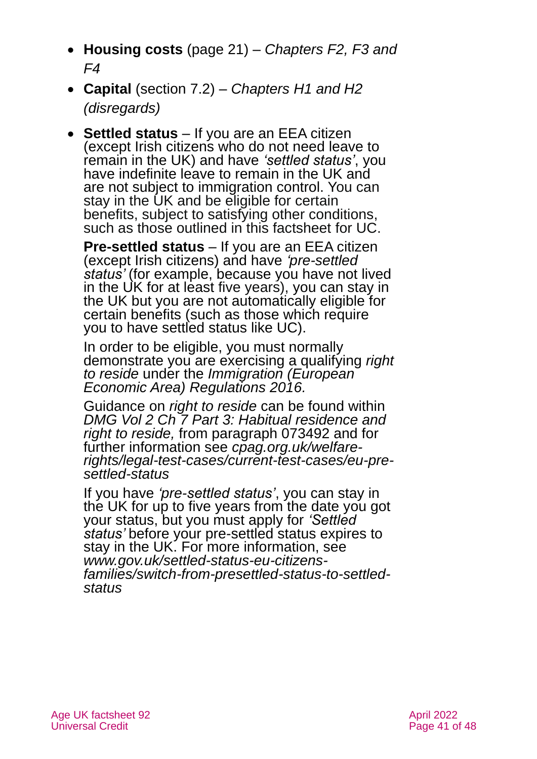- **Housing costs** (page 21) *[Chapters F2,](https://assets.publishing.service.gov.uk/government/uploads/system/uploads/attachment_data/file/864902/admf2.pdf) [F3](https://assets.publishing.service.gov.uk/government/uploads/system/uploads/attachment_data/file/864904/admf3.pdf) and [F4](https://assets.publishing.service.gov.uk/government/uploads/system/uploads/attachment_data/file/864905/admf4.pdf)*
- **Capital** [\(section 7.2\)](#page-31-0) *[Chapters H1](https://assets.publishing.service.gov.uk/government/uploads/system/uploads/attachment_data/file/864936/admh1.pdf) and [H2](https://assets.publishing.service.gov.uk/government/uploads/system/uploads/attachment_data/file/864939/admh2.pdf)  [\(disregards\)](https://assets.publishing.service.gov.uk/government/uploads/system/uploads/attachment_data/file/864939/admh2.pdf)*
- **Settled status** If you are an EEA citizen (except Irish citizens who do not need leave to remain in the UK) and have *'settled status'*, you have indefinite leave to remain in the UK and are not subject to immigration control. You can stay in the UK and be eligible for certain benefits, subject to satisfying other conditions, such as those outlined in this factsheet for UC.

**Pre-settled status** *–* If you are an EEA citizen (except Irish citizens) and have *'pre-settled status'* (for example, because you have not lived in the UK for at least five years), you can stay in the UK but you are not automatically eligible for certain benefits (such as those which require you to have settled status like UC).

In order to be eligible, you must normally demonstrate you are exercising a qualifying *right to reside* under the *[Immigration \(European](https://www.legislation.gov.uk/uksi/2016/1052/made)  [Economic Area\) Regulations 2016.](https://www.legislation.gov.uk/uksi/2016/1052/made)*

Guidance on *right to reside* can be found within *[DMG Vol 2 Ch 7 Part 3: Habitual residence and](https://assets.publishing.service.gov.uk/government/uploads/system/uploads/attachment_data/file/949265/dmg-chapter-07-part-03-habitual-residence-and-right-to-reside-is-jsa-spc-esa-072770-073779.pdf)  [right to reside,](https://assets.publishing.service.gov.uk/government/uploads/system/uploads/attachment_data/file/949265/dmg-chapter-07-part-03-habitual-residence-and-right-to-reside-is-jsa-spc-esa-072770-073779.pdf)* from paragraph 073492 and for further information see *[cpag.org.uk/welfare](https://cpag.org.uk/welfare-rights/legal-test-cases/current-test-cases/eu-pre-settled-status)[rights/legal-test-cases/current-test-cases/eu-pre](https://cpag.org.uk/welfare-rights/legal-test-cases/current-test-cases/eu-pre-settled-status)[settled-status](https://cpag.org.uk/welfare-rights/legal-test-cases/current-test-cases/eu-pre-settled-status)*

If you have *'pre-settled status'*, you can stay in the UK for up to five years from the date you got your status, but you must apply for *'Settled status'* before your pre-settled status expires to stay in the UK. For more information, see *[www.gov.uk/settled-status-eu-citizens](http://www.gov.uk/settled-status-eu-citizens-families/switch-from-presettled-status-to-settled-status)[families/switch-from-presettled-status-to-settled](http://www.gov.uk/settled-status-eu-citizens-families/switch-from-presettled-status-to-settled-status)[status](http://www.gov.uk/settled-status-eu-citizens-families/switch-from-presettled-status-to-settled-status)*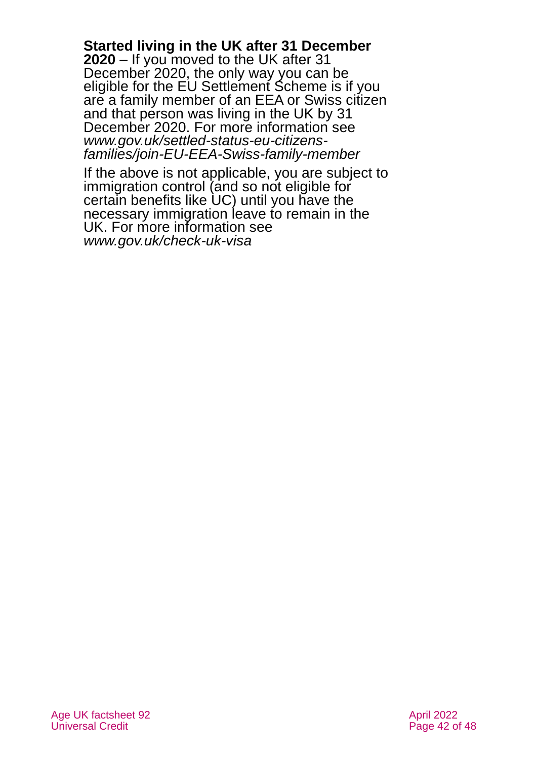**Started living in the UK after 31 December 2020** *–* If you moved to the UK after 31 December 2020, the only way you can be eligible for the EU Settlement Scheme is if you are a family member of an EEA or Swiss citizen and that person was living in the UK by 31 December 2020. For more information see *[www.gov.uk/settled-status-eu-citizens](http://www.gov.uk/settled-status-eu-citizens-families/join-EU-EEA-Swiss-family-member)[families/join-EU-EEA-Swiss-family-member](http://www.gov.uk/settled-status-eu-citizens-families/join-EU-EEA-Swiss-family-member)*

If the above is not applicable, you are subject to immigration control (and so not eligible for certain benefits like UC) until you have the necessary immigration leave to remain in the UK. For more information see *[www.gov.uk/check-uk-visa](http://www.gov.uk/check-uk-visa)*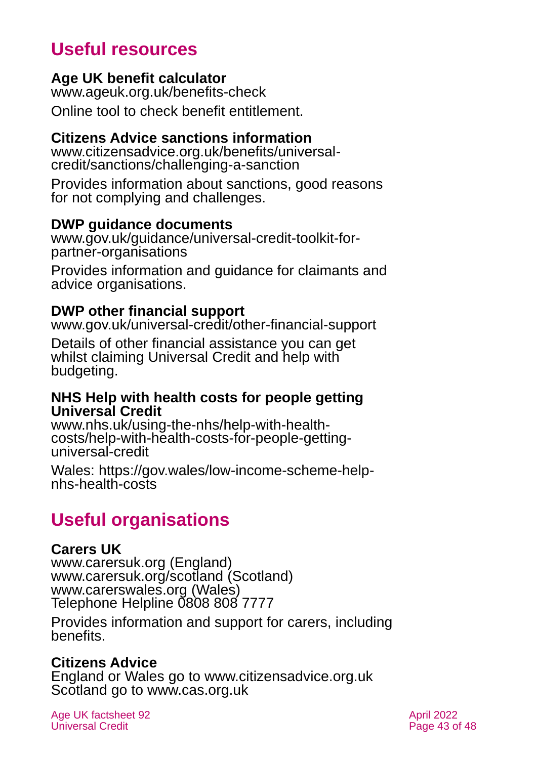# **Useful resources**

### <span id="page-42-1"></span>**Age UK benefit calculator**

[www.ageuk.org.uk/benefits-check](http://www.ageuk.org.uk/benefits-check) Online tool to check benefit entitlement.

### **Citizens Advice sanctions information**

[www.citizensadvice.org.uk/benefits/universal](http://www.citizensadvice.org.uk/benefits/universal-credit/sanctions/challenging-a-sanction)[credit/sanctions/challenging-a-sanction](http://www.citizensadvice.org.uk/benefits/universal-credit/sanctions/challenging-a-sanction)

Provides information about sanctions, good reasons for not complying and challenges.

### **DWP guidance documents**

[www.gov.uk/guidance/universal-credit-toolkit-for](http://www.gov.uk/guidance/universal-credit-toolkit-for-partner-organisations)[partner-organisations](http://www.gov.uk/guidance/universal-credit-toolkit-for-partner-organisations)

Provides information and guidance for claimants and advice organisations.

# <span id="page-42-2"></span>**DWP other financial support**

[www.gov.uk/universal-credit/other-financial-support](http://www.gov.uk/universal-credit/other-financial-support)

Details of other financial assistance you can get whilst claiming Universal Credit and help with budgeting.

### **NHS Help with health costs for people getting Universal Credit**

[www.nhs.uk/using-the-nhs/help-with-health](http://www.nhs.uk/using-the-nhs/help-with-health-costs/help-with-health-costs-for-people-getting-universal-credit)[costs/help-with-health-costs-for-people-getting](http://www.nhs.uk/using-the-nhs/help-with-health-costs/help-with-health-costs-for-people-getting-universal-credit)[universal-credit](http://www.nhs.uk/using-the-nhs/help-with-health-costs/help-with-health-costs-for-people-getting-universal-credit) 

Wales: [https://gov.wales/low-income-scheme-help](https://gov.wales/low-income-scheme-help-nhs-health-costs)[nhs-health-costs](https://gov.wales/low-income-scheme-help-nhs-health-costs)

# **Useful organisations**

# <span id="page-42-0"></span>**Carers UK**

[www.carersuk.org](http://www.carersuk.org/) (England) [www.carersuk.org/scotland](http://www.carersuk.org/scotland) (Scotland) [www.carerswales.org](http://www.carerswales.org/) (Wales) Telephone Helpline 0808 808 7777

Provides information and support for carers, including benefits.

# **Citizens Advice**

England or Wales go to [www.citizensadvice.org.uk](http://www.citizensadvice.org.uk/) Scotland go to [www.cas.org.uk](http://www.cas.org.uk/)

Age UK factsheet 92 April 2022 April 2022 Universal Credit **Page 43 of 48**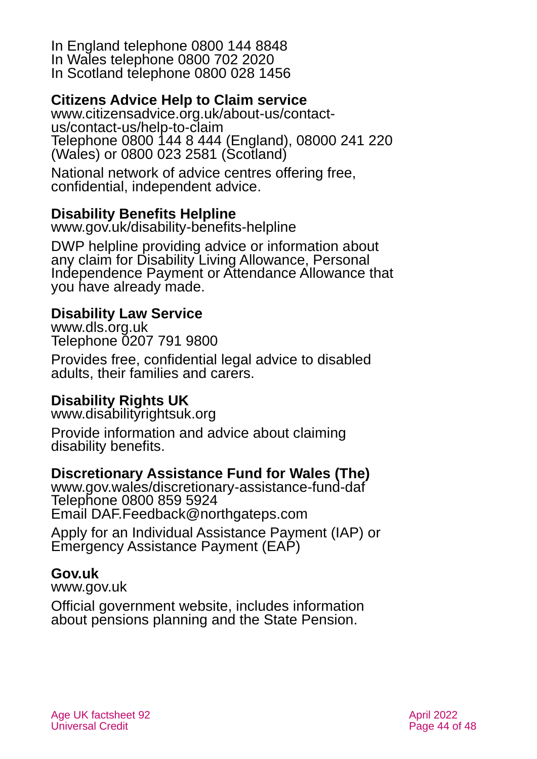In England telephone 0800 144 8848 In Wales telephone 0800 702 2020 In Scotland telephone 0800 028 1456

# **Citizens Advice Help to Claim service**

[www.citizensadvice.org.uk/about-us/contact](http://www.citizensadvice.org.uk/about-us/contact-us/contact-us/help-to-claim)[us/contact-us/help-to-claim](http://www.citizensadvice.org.uk/about-us/contact-us/contact-us/help-to-claim) Telephone 0800 144 8 444 (England), 08000 241 220 (Wales) or 0800 023 2581 (Scotland)

National network of advice centres offering free, confidential, independent advice.

# **Disability Benefits Helpline**

[www.gov.uk/disability-benefits-helpline](http://www.gov.uk/disability-benefits-helpline)

DWP helpline providing advice or information about any claim for Disability Living Allowance, Personal Independence Payment or Attendance Allowance that you have already made.

### **Disability Law Service**

[www.dls.org.uk](http://www.dls.org.uk/) Telephone 0207 791 9800

Provides free, confidential legal advice to disabled adults, their families and carers.

# **Disability Rights UK**

[www.disabilityrightsuk.org](http://www.disabilityrightsuk.org/)

Provide information and advice about claiming disability benefits.

# **Discretionary Assistance Fund for Wales (The)**

[www.gov.wales/discretionary-assistance-fund-daf](http://www.gov.wales/discretionary-assistance-fund-daf) Telephone 0800 859 5924 Email [DAF.Feedback@northgateps.com](mailto:DAF.Feedback@northgateps.com)

Apply for an Individual Assistance Payment (IAP) or Emergency Assistance Payment (EAP)

### **Gov.uk**

[www.gov.uk](http://www.gov.uk/)

Official government website, includes information about pensions planning and the State Pension.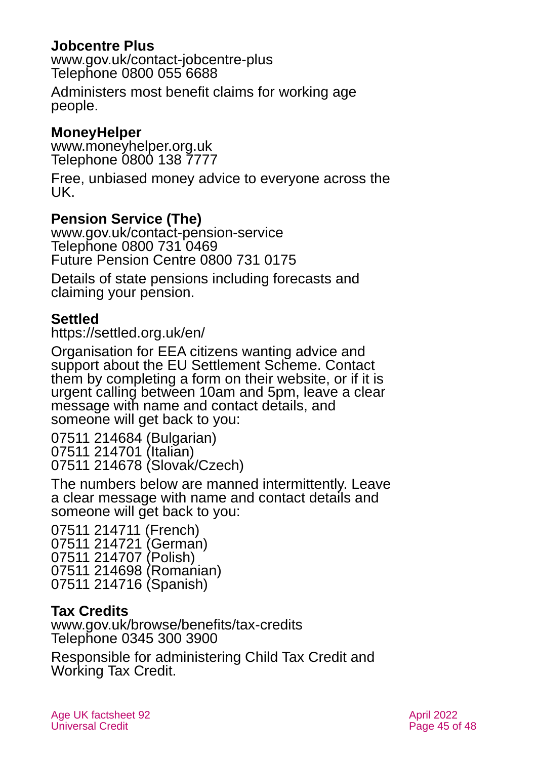### **Jobcentre Plus**

[www.gov.uk/contact-jobcentre-plus](http://www.gov.uk/contact-jobcentre-plus) Telephone 0800 055 6688

Administers most benefit claims for working age people.

### **MoneyHelper**

[www.moneyhelper.org.uk](http://www.moneyhelper.org.uk/) Telephone 0800 138 7777

Free, unbiased money advice to everyone across the UK.

### **Pension Service (The)**

[www.gov.uk/contact-pension-service](http://www.gov.uk/contact-pension-service) Telephone 0800 731 0469 Future Pension Centre 0800 731 0175

Details of state pensions including forecasts and claiming your pension.

### **Settled**

<https://settled.org.uk/en/>

Organisation for EEA citizens wanting advice and support about the EU Settlement Scheme. Contact them by completing a form on their website, or if it is urgent calling between 10am and 5pm, leave a clear message with name and contact details, and someone will get back to you:

07511 214684 (Bulgarian) 07511 214701 (Italian) 07511 214678 (Slovak/Czech)

The numbers below are manned intermittently. Leave a clear message with name and contact details and someone will get back to you:

07511 214711 (French) 07511 214721 (German) 07511 214707 (Polish) 07511 214698 (Romanian) 07511 214716 (Spanish)

# **Tax Credits**

[www.gov.uk/browse/benefits/tax-credits](http://www.gov.uk/browse/benefits/tax-credits)  Telephone 0345 300 3900

Responsible for administering Child Tax Credit and Working Tax Credit.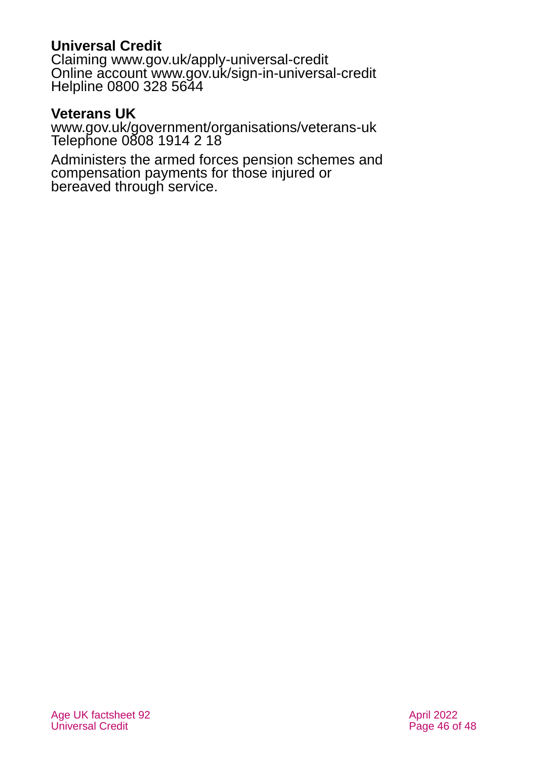# **Universal Credit**

Claiming [www.gov.uk/apply-universal-credit](http://www.gov.uk/apply-universal-credit) Online account [www.gov.uk/sign-in-universal-credit](http://www.gov.uk/sign-in-universal-credit) Helpline 0800 328 5644

### **Veterans UK**

[www.gov.uk/government/organisations/veterans-uk](http://www.gov.uk/government/organisations/veterans-uk) Telephone 0808 1914 2 18

Administers the armed forces pension schemes and compensation payments for those injured or bereaved through service.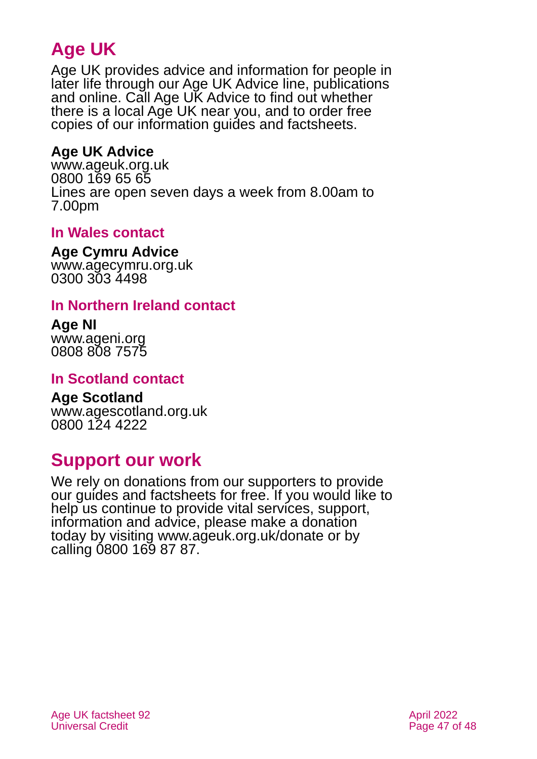# **Age UK**

Age UK provides advice and information for people in later life through our Age UK Advice line, publications and online. Call Age UK Advice to find out whether there is a local Age UK near you, and to order free copies of our information guides and factsheets.

# <span id="page-46-2"></span>**Age UK Advice**

[www.ageuk.org.uk](http://www.ageuk.org.uk/) 0800 169 65 65 Lines are open seven days a week from 8.00am to 7.00pm

### <span id="page-46-5"></span>**In Wales contact**

#### <span id="page-46-4"></span>**Age Cymru Advice**

[www.agecymru.org.uk](http://www.agecymru.org.uk/) 0300 303 4498

### <span id="page-46-1"></span>**In Northern Ireland contact**

#### **Age NI** [www.ageni.org](http://www.ageni.org/)

0808 808 7575

### <span id="page-46-0"></span>**In Scotland contact**

#### <span id="page-46-3"></span>**Age Scotland** [www.agescotland.org.uk](http://www.agescotland.org.uk/) 0800 124 4222

# **Support our work**

We rely on donations from our supporters to provide our guides and factsheets for free. If you would like to help us continue to provide vital services, support, information and advice, please make a donation today by visiting [www.ageuk.org.uk/donate](http://www.ageuk.org.uk/donate) or by calling 0800 169 87 87.